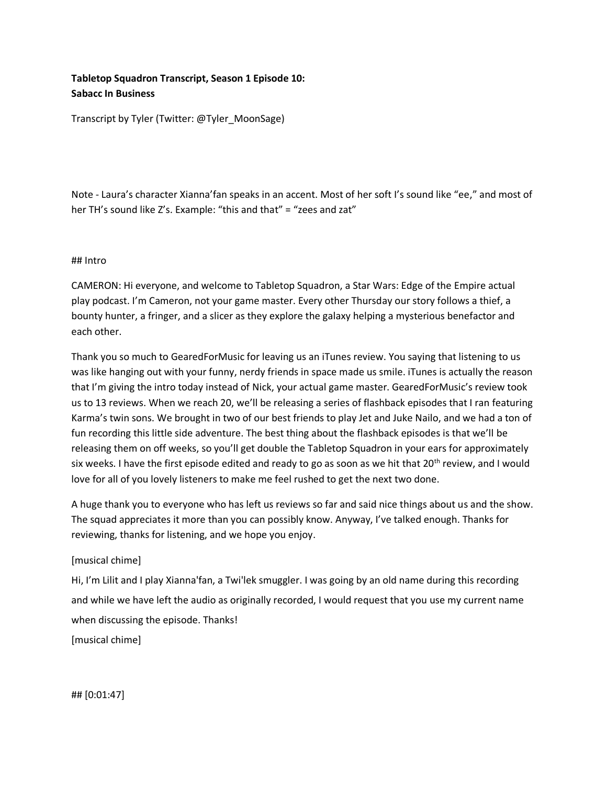# **Tabletop Squadron Transcript, Season 1 Episode 10: Sabacc In Business**

Transcript by Tyler (Twitter: @Tyler\_MoonSage)

Note - Laura's character Xianna'fan speaks in an accent. Most of her soft I's sound like "ee," and most of her TH's sound like Z's. Example: "this and that" = "zees and zat"

#### ## Intro

CAMERON: Hi everyone, and welcome to Tabletop Squadron, a Star Wars: Edge of the Empire actual play podcast. I'm Cameron, not your game master. Every other Thursday our story follows a thief, a bounty hunter, a fringer, and a slicer as they explore the galaxy helping a mysterious benefactor and each other.

Thank you so much to GearedForMusic for leaving us an iTunes review. You saying that listening to us was like hanging out with your funny, nerdy friends in space made us smile. iTunes is actually the reason that I'm giving the intro today instead of Nick, your actual game master. GearedForMusic's review took us to 13 reviews. When we reach 20, we'll be releasing a series of flashback episodes that I ran featuring Karma's twin sons. We brought in two of our best friends to play Jet and Juke Nailo, and we had a ton of fun recording this little side adventure. The best thing about the flashback episodes is that we'll be releasing them on off weeks, so you'll get double the Tabletop Squadron in your ears for approximately six weeks. I have the first episode edited and ready to go as soon as we hit that  $20<sup>th</sup>$  review, and I would love for all of you lovely listeners to make me feel rushed to get the next two done.

A huge thank you to everyone who has left us reviews so far and said nice things about us and the show. The squad appreciates it more than you can possibly know. Anyway, I've talked enough. Thanks for reviewing, thanks for listening, and we hope you enjoy.

# [musical chime]

Hi, I'm Lilit and I play Xianna'fan, a Twi'lek smuggler. I was going by an old name during this recording and while we have left the audio as originally recorded, I would request that you use my current name when discussing the episode. Thanks!

[musical chime]

## [0:01:47]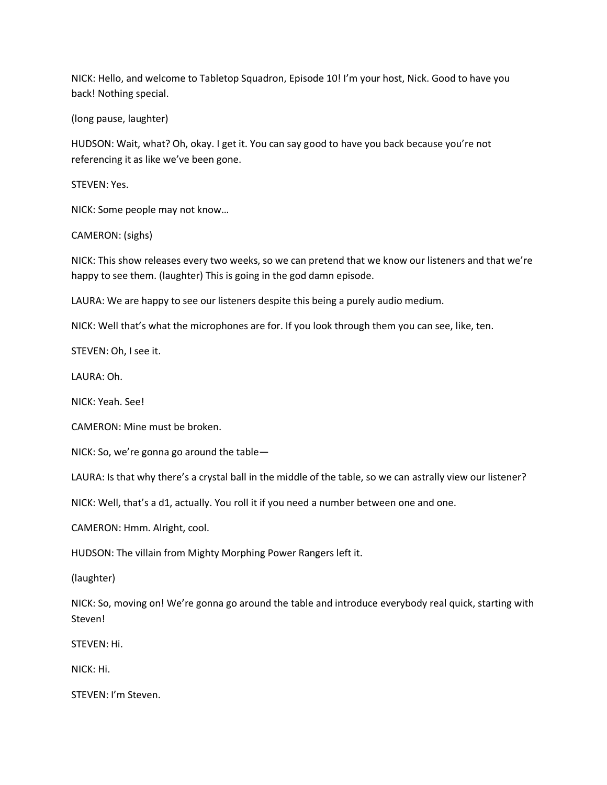NICK: Hello, and welcome to Tabletop Squadron, Episode 10! I'm your host, Nick. Good to have you back! Nothing special.

(long pause, laughter)

HUDSON: Wait, what? Oh, okay. I get it. You can say good to have you back because you're not referencing it as like we've been gone.

STEVEN: Yes.

NICK: Some people may not know…

CAMERON: (sighs)

NICK: This show releases every two weeks, so we can pretend that we know our listeners and that we're happy to see them. (laughter) This is going in the god damn episode.

LAURA: We are happy to see our listeners despite this being a purely audio medium.

NICK: Well that's what the microphones are for. If you look through them you can see, like, ten.

STEVEN: Oh, I see it.

LAURA: Oh.

NICK: Yeah. See!

CAMERON: Mine must be broken.

NICK: So, we're gonna go around the table—

LAURA: Is that why there's a crystal ball in the middle of the table, so we can astrally view our listener?

NICK: Well, that's a d1, actually. You roll it if you need a number between one and one.

CAMERON: Hmm. Alright, cool.

HUDSON: The villain from Mighty Morphing Power Rangers left it.

(laughter)

NICK: So, moving on! We're gonna go around the table and introduce everybody real quick, starting with **Steven!** 

STEVEN: Hi.

NICK: Hi.

STEVEN: I'm Steven.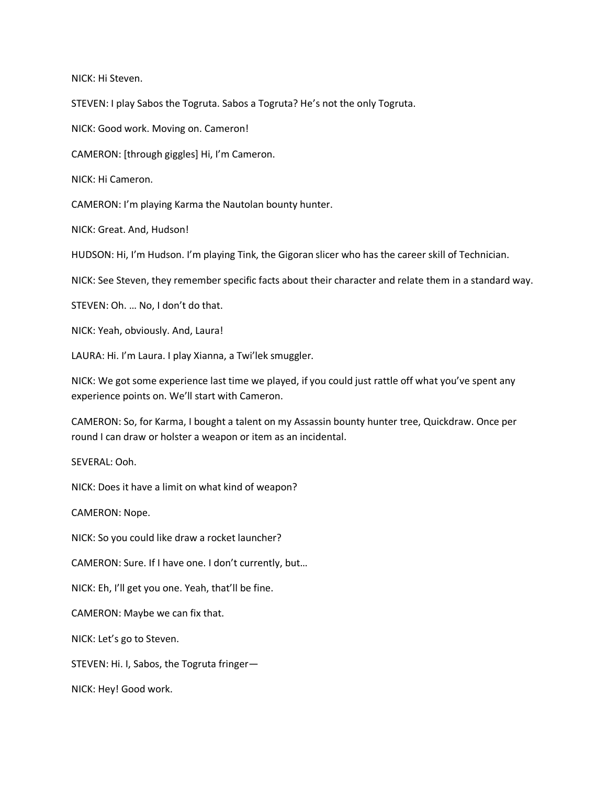NICK: Hi Steven.

STEVEN: I play Sabos the Togruta. Sabos a Togruta? He's not the only Togruta.

NICK: Good work. Moving on. Cameron!

CAMERON: [through giggles] Hi, I'm Cameron.

NICK: Hi Cameron.

CAMERON: I'm playing Karma the Nautolan bounty hunter.

NICK: Great. And, Hudson!

HUDSON: Hi, I'm Hudson. I'm playing Tink, the Gigoran slicer who has the career skill of Technician.

NICK: See Steven, they remember specific facts about their character and relate them in a standard way.

STEVEN: Oh. … No, I don't do that.

NICK: Yeah, obviously. And, Laura!

LAURA: Hi. I'm Laura. I play Xianna, a Twi'lek smuggler.

NICK: We got some experience last time we played, if you could just rattle off what you've spent any experience points on. We'll start with Cameron.

CAMERON: So, for Karma, I bought a talent on my Assassin bounty hunter tree, Quickdraw. Once per round I can draw or holster a weapon or item as an incidental.

SEVERAL: Ooh.

NICK: Does it have a limit on what kind of weapon?

CAMERON: Nope.

NICK: So you could like draw a rocket launcher?

CAMERON: Sure. If I have one. I don't currently, but…

NICK: Eh, I'll get you one. Yeah, that'll be fine.

CAMERON: Maybe we can fix that.

NICK: Let's go to Steven.

STEVEN: Hi. I, Sabos, the Togruta fringer—

NICK: Hey! Good work.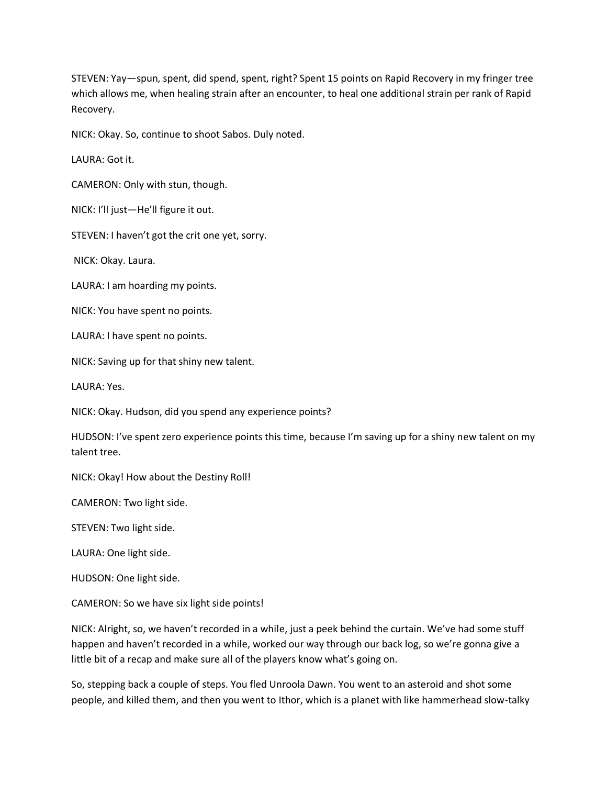STEVEN: Yay—spun, spent, did spend, spent, right? Spent 15 points on Rapid Recovery in my fringer tree which allows me, when healing strain after an encounter, to heal one additional strain per rank of Rapid Recovery.

NICK: Okay. So, continue to shoot Sabos. Duly noted.

LAURA: Got it.

CAMERON: Only with stun, though.

NICK: I'll just—He'll figure it out.

STEVEN: I haven't got the crit one yet, sorry.

NICK: Okay. Laura.

LAURA: I am hoarding my points.

NICK: You have spent no points.

LAURA: I have spent no points.

NICK: Saving up for that shiny new talent.

LAURA: Yes.

NICK: Okay. Hudson, did you spend any experience points?

HUDSON: I've spent zero experience points this time, because I'm saving up for a shiny new talent on my talent tree.

NICK: Okay! How about the Destiny Roll!

CAMERON: Two light side.

STEVEN: Two light side.

LAURA: One light side.

HUDSON: One light side.

CAMERON: So we have six light side points!

NICK: Alright, so, we haven't recorded in a while, just a peek behind the curtain. We've had some stuff happen and haven't recorded in a while, worked our way through our back log, so we're gonna give a little bit of a recap and make sure all of the players know what's going on.

So, stepping back a couple of steps. You fled Unroola Dawn. You went to an asteroid and shot some people, and killed them, and then you went to Ithor, which is a planet with like hammerhead slow-talky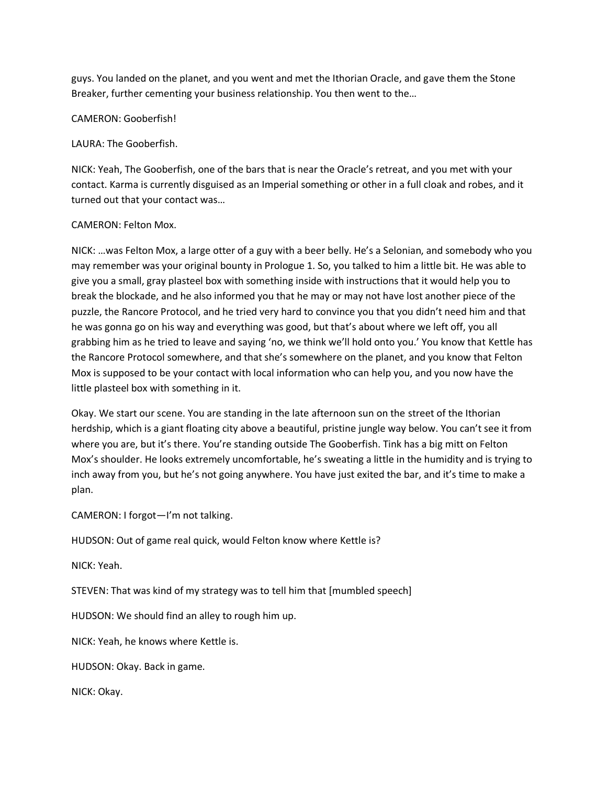guys. You landed on the planet, and you went and met the Ithorian Oracle, and gave them the Stone Breaker, further cementing your business relationship. You then went to the…

#### CAMERON: Gooberfish!

LAURA: The Gooberfish.

NICK: Yeah, The Gooberfish, one of the bars that is near the Oracle's retreat, and you met with your contact. Karma is currently disguised as an Imperial something or other in a full cloak and robes, and it turned out that your contact was…

#### CAMERON: Felton Mox.

NICK: …was Felton Mox, a large otter of a guy with a beer belly. He's a Selonian, and somebody who you may remember was your original bounty in Prologue 1. So, you talked to him a little bit. He was able to give you a small, gray plasteel box with something inside with instructions that it would help you to break the blockade, and he also informed you that he may or may not have lost another piece of the puzzle, the Rancore Protocol, and he tried very hard to convince you that you didn't need him and that he was gonna go on his way and everything was good, but that's about where we left off, you all grabbing him as he tried to leave and saying 'no, we think we'll hold onto you.' You know that Kettle has the Rancore Protocol somewhere, and that she's somewhere on the planet, and you know that Felton Mox is supposed to be your contact with local information who can help you, and you now have the little plasteel box with something in it.

Okay. We start our scene. You are standing in the late afternoon sun on the street of the Ithorian herdship, which is a giant floating city above a beautiful, pristine jungle way below. You can't see it from where you are, but it's there. You're standing outside The Gooberfish. Tink has a big mitt on Felton Mox's shoulder. He looks extremely uncomfortable, he's sweating a little in the humidity and is trying to inch away from you, but he's not going anywhere. You have just exited the bar, and it's time to make a plan.

CAMERON: I forgot—I'm not talking.

HUDSON: Out of game real quick, would Felton know where Kettle is?

NICK: Yeah.

STEVEN: That was kind of my strategy was to tell him that [mumbled speech]

HUDSON: We should find an alley to rough him up.

NICK: Yeah, he knows where Kettle is.

HUDSON: Okay. Back in game.

NICK: Okay.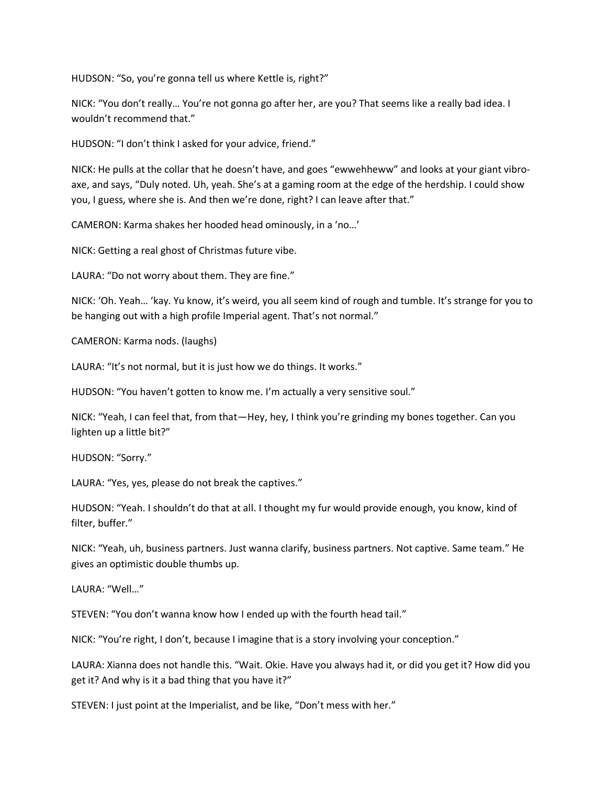HUDSON: "So, you're gonna tell us where Kettle is, right?"

NICK: "You don't really… You're not gonna go after her, are you? That seems like a really bad idea. I wouldn't recommend that."

HUDSON: "I don't think I asked for your advice, friend."

NICK: He pulls at the collar that he doesn't have, and goes "ewwehheww" and looks at your giant vibroaxe, and says, "Duly noted. Uh, yeah. She's at a gaming room at the edge of the herdship. I could show you, I guess, where she is. And then we're done, right? I can leave after that."

CAMERON: Karma shakes her hooded head ominously, in a 'no…'

NICK: Getting a real ghost of Christmas future vibe.

LAURA: "Do not worry about them. They are fine."

NICK: 'Oh. Yeah… 'kay. Yu know, it's weird, you all seem kind of rough and tumble. It's strange for you to be hanging out with a high profile Imperial agent. That's not normal."

CAMERON: Karma nods. (laughs)

LAURA: "It's not normal, but it is just how we do things. It works."

HUDSON: "You haven't gotten to know me. I'm actually a very sensitive soul."

NICK: "Yeah, I can feel that, from that—Hey, hey, I think you're grinding my bones together. Can you lighten up a little bit?"

HUDSON: "Sorry."

LAURA: "Yes, yes, please do not break the captives."

HUDSON: "Yeah. I shouldn't do that at all. I thought my fur would provide enough, you know, kind of filter, buffer."

NICK: "Yeah, uh, business partners. Just wanna clarify, business partners. Not captive. Same team." He gives an optimistic double thumbs up.

LAURA: "Well…"

STEVEN: "You don't wanna know how I ended up with the fourth head tail."

NICK: "You're right, I don't, because I imagine that is a story involving your conception."

LAURA: Xianna does not handle this. "Wait. Okie. Have you always had it, or did you get it? How did you get it? And why is it a bad thing that you have it?"

STEVEN: I just point at the Imperialist, and be like, "Don't mess with her."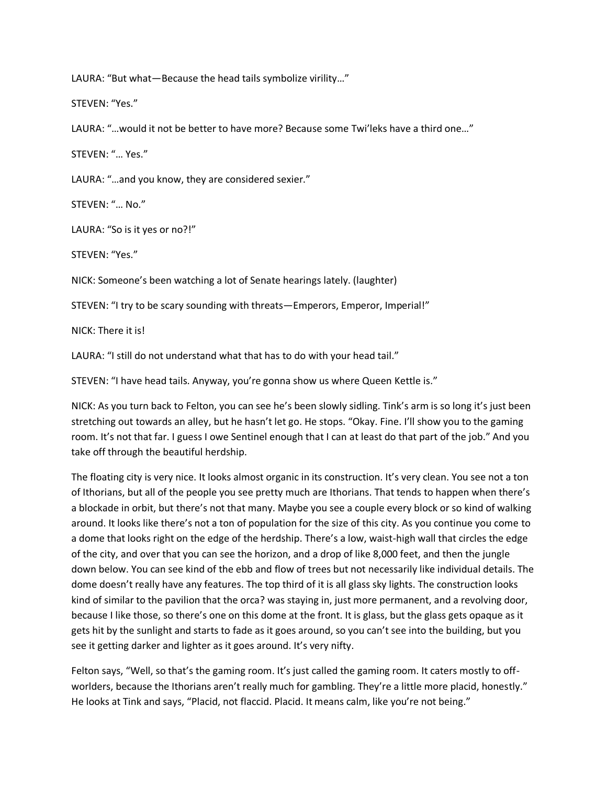LAURA: "But what—Because the head tails symbolize virility…"

STEVEN: "Yes."

LAURA: "…would it not be better to have more? Because some Twi'leks have a third one…"

STEVEN: "… Yes."

LAURA: "…and you know, they are considered sexier."

STEVEN: "… No."

LAURA: "So is it yes or no?!"

STEVEN: "Yes."

NICK: Someone's been watching a lot of Senate hearings lately. (laughter)

STEVEN: "I try to be scary sounding with threats—Emperors, Emperor, Imperial!"

NICK: There it is!

LAURA: "I still do not understand what that has to do with your head tail."

STEVEN: "I have head tails. Anyway, you're gonna show us where Queen Kettle is."

NICK: As you turn back to Felton, you can see he's been slowly sidling. Tink's arm is so long it's just been stretching out towards an alley, but he hasn't let go. He stops. "Okay. Fine. I'll show you to the gaming room. It's not that far. I guess I owe Sentinel enough that I can at least do that part of the job." And you take off through the beautiful herdship.

The floating city is very nice. It looks almost organic in its construction. It's very clean. You see not a ton of Ithorians, but all of the people you see pretty much are Ithorians. That tends to happen when there's a blockade in orbit, but there's not that many. Maybe you see a couple every block or so kind of walking around. It looks like there's not a ton of population for the size of this city. As you continue you come to a dome that looks right on the edge of the herdship. There's a low, waist-high wall that circles the edge of the city, and over that you can see the horizon, and a drop of like 8,000 feet, and then the jungle down below. You can see kind of the ebb and flow of trees but not necessarily like individual details. The dome doesn't really have any features. The top third of it is all glass sky lights. The construction looks kind of similar to the pavilion that the orca? was staying in, just more permanent, and a revolving door, because I like those, so there's one on this dome at the front. It is glass, but the glass gets opaque as it gets hit by the sunlight and starts to fade as it goes around, so you can't see into the building, but you see it getting darker and lighter as it goes around. It's very nifty.

Felton says, "Well, so that's the gaming room. It's just called the gaming room. It caters mostly to offworlders, because the Ithorians aren't really much for gambling. They're a little more placid, honestly." He looks at Tink and says, "Placid, not flaccid. Placid. It means calm, like you're not being."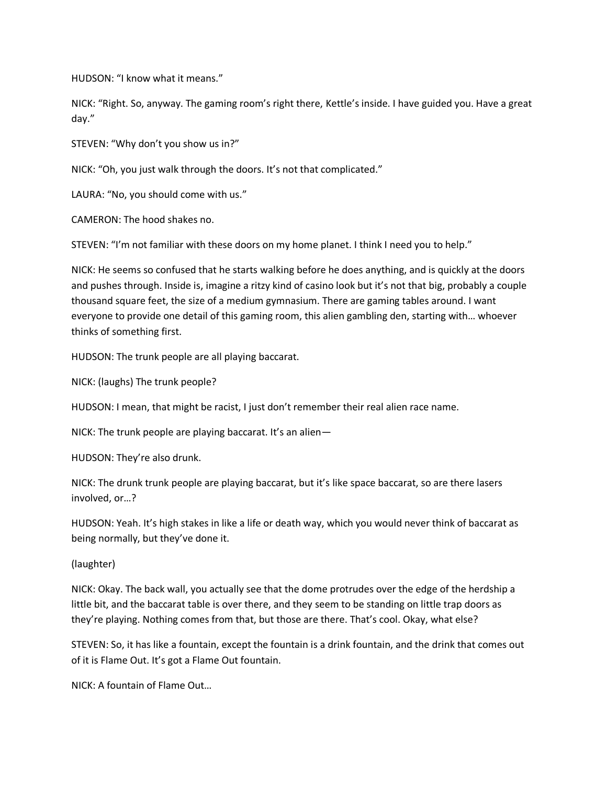HUDSON: "I know what it means."

NICK: "Right. So, anyway. The gaming room's right there, Kettle's inside. I have guided you. Have a great day."

STEVEN: "Why don't you show us in?"

NICK: "Oh, you just walk through the doors. It's not that complicated."

LAURA: "No, you should come with us."

CAMERON: The hood shakes no.

STEVEN: "I'm not familiar with these doors on my home planet. I think I need you to help."

NICK: He seems so confused that he starts walking before he does anything, and is quickly at the doors and pushes through. Inside is, imagine a ritzy kind of casino look but it's not that big, probably a couple thousand square feet, the size of a medium gymnasium. There are gaming tables around. I want everyone to provide one detail of this gaming room, this alien gambling den, starting with… whoever thinks of something first.

HUDSON: The trunk people are all playing baccarat.

NICK: (laughs) The trunk people?

HUDSON: I mean, that might be racist, I just don't remember their real alien race name.

NICK: The trunk people are playing baccarat. It's an alien—

HUDSON: They're also drunk.

NICK: The drunk trunk people are playing baccarat, but it's like space baccarat, so are there lasers involved, or…?

HUDSON: Yeah. It's high stakes in like a life or death way, which you would never think of baccarat as being normally, but they've done it.

(laughter)

NICK: Okay. The back wall, you actually see that the dome protrudes over the edge of the herdship a little bit, and the baccarat table is over there, and they seem to be standing on little trap doors as they're playing. Nothing comes from that, but those are there. That's cool. Okay, what else?

STEVEN: So, it has like a fountain, except the fountain is a drink fountain, and the drink that comes out of it is Flame Out. It's got a Flame Out fountain.

NICK: A fountain of Flame Out…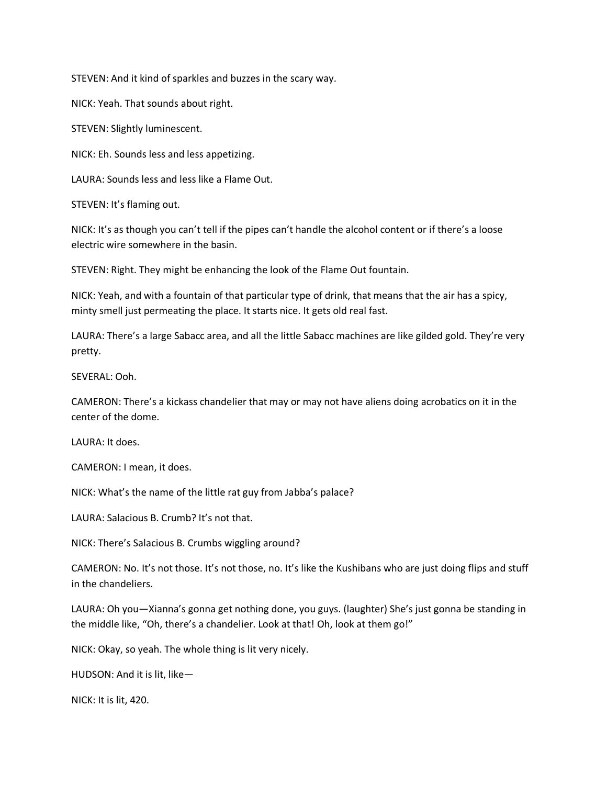STEVEN: And it kind of sparkles and buzzes in the scary way.

NICK: Yeah. That sounds about right.

STEVEN: Slightly luminescent.

NICK: Eh. Sounds less and less appetizing.

LAURA: Sounds less and less like a Flame Out.

STEVEN: It's flaming out.

NICK: It's as though you can't tell if the pipes can't handle the alcohol content or if there's a loose electric wire somewhere in the basin.

STEVEN: Right. They might be enhancing the look of the Flame Out fountain.

NICK: Yeah, and with a fountain of that particular type of drink, that means that the air has a spicy, minty smell just permeating the place. It starts nice. It gets old real fast.

LAURA: There's a large Sabacc area, and all the little Sabacc machines are like gilded gold. They're very pretty.

SEVERAL: Ooh.

CAMERON: There's a kickass chandelier that may or may not have aliens doing acrobatics on it in the center of the dome.

LAURA: It does.

CAMERON: I mean, it does.

NICK: What's the name of the little rat guy from Jabba's palace?

LAURA: Salacious B. Crumb? It's not that.

NICK: There's Salacious B. Crumbs wiggling around?

CAMERON: No. It's not those. It's not those, no. It's like the Kushibans who are just doing flips and stuff in the chandeliers.

LAURA: Oh you—Xianna's gonna get nothing done, you guys. (laughter) She's just gonna be standing in the middle like, "Oh, there's a chandelier. Look at that! Oh, look at them go!"

NICK: Okay, so yeah. The whole thing is lit very nicely.

HUDSON: And it is lit, like—

NICK: It is lit, 420.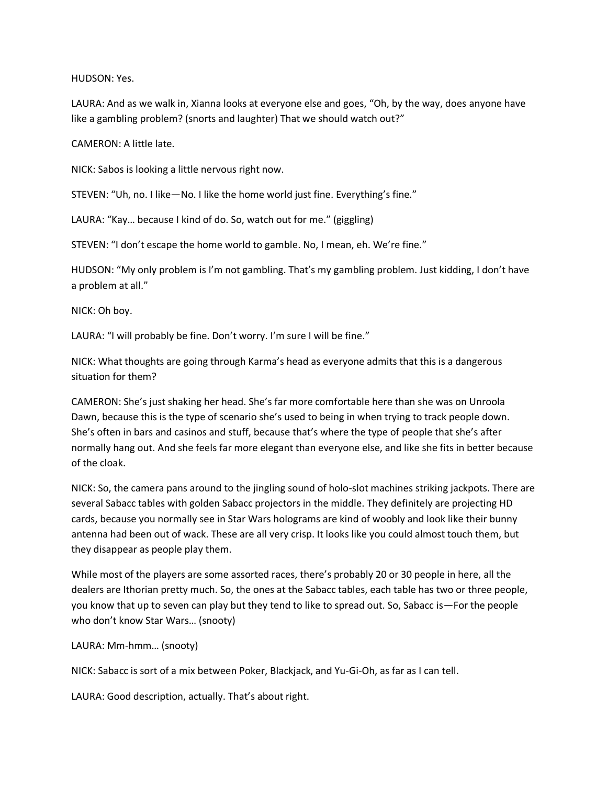#### HUDSON: Yes.

LAURA: And as we walk in, Xianna looks at everyone else and goes, "Oh, by the way, does anyone have like a gambling problem? (snorts and laughter) That we should watch out?"

#### CAMERON: A little late.

NICK: Sabos is looking a little nervous right now.

STEVEN: "Uh, no. I like—No. I like the home world just fine. Everything's fine."

LAURA: "Kay… because I kind of do. So, watch out for me." (giggling)

STEVEN: "I don't escape the home world to gamble. No, I mean, eh. We're fine."

HUDSON: "My only problem is I'm not gambling. That's my gambling problem. Just kidding, I don't have a problem at all."

NICK: Oh boy.

LAURA: "I will probably be fine. Don't worry. I'm sure I will be fine."

NICK: What thoughts are going through Karma's head as everyone admits that this is a dangerous situation for them?

CAMERON: She's just shaking her head. She's far more comfortable here than she was on Unroola Dawn, because this is the type of scenario she's used to being in when trying to track people down. She's often in bars and casinos and stuff, because that's where the type of people that she's after normally hang out. And she feels far more elegant than everyone else, and like she fits in better because of the cloak.

NICK: So, the camera pans around to the jingling sound of holo-slot machines striking jackpots. There are several Sabacc tables with golden Sabacc projectors in the middle. They definitely are projecting HD cards, because you normally see in Star Wars holograms are kind of woobly and look like their bunny antenna had been out of wack. These are all very crisp. It looks like you could almost touch them, but they disappear as people play them.

While most of the players are some assorted races, there's probably 20 or 30 people in here, all the dealers are Ithorian pretty much. So, the ones at the Sabacc tables, each table has two or three people, you know that up to seven can play but they tend to like to spread out. So, Sabacc is—For the people who don't know Star Wars… (snooty)

# LAURA: Mm-hmm… (snooty)

NICK: Sabacc is sort of a mix between Poker, Blackjack, and Yu-Gi-Oh, as far as I can tell.

LAURA: Good description, actually. That's about right.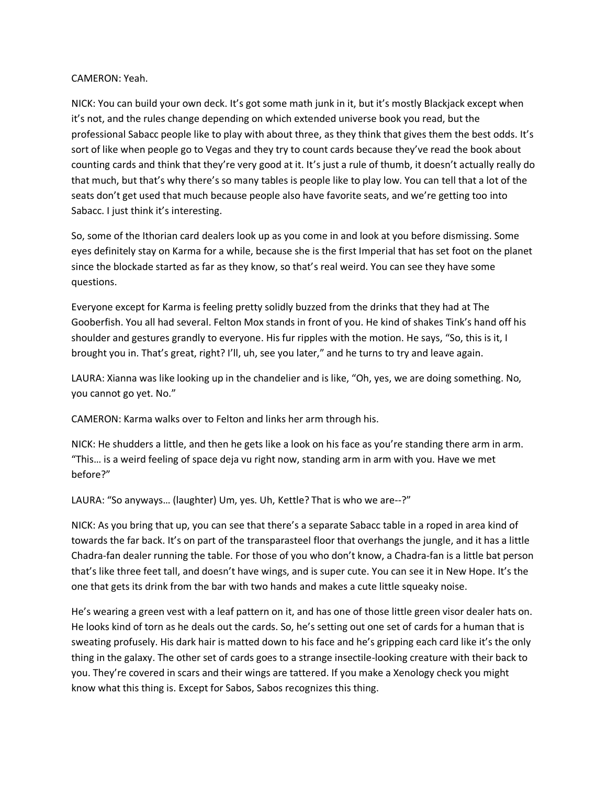## CAMERON: Yeah.

NICK: You can build your own deck. It's got some math junk in it, but it's mostly Blackjack except when it's not, and the rules change depending on which extended universe book you read, but the professional Sabacc people like to play with about three, as they think that gives them the best odds. It's sort of like when people go to Vegas and they try to count cards because they've read the book about counting cards and think that they're very good at it. It's just a rule of thumb, it doesn't actually really do that much, but that's why there's so many tables is people like to play low. You can tell that a lot of the seats don't get used that much because people also have favorite seats, and we're getting too into Sabacc. I just think it's interesting.

So, some of the Ithorian card dealers look up as you come in and look at you before dismissing. Some eyes definitely stay on Karma for a while, because she is the first Imperial that has set foot on the planet since the blockade started as far as they know, so that's real weird. You can see they have some questions.

Everyone except for Karma is feeling pretty solidly buzzed from the drinks that they had at The Gooberfish. You all had several. Felton Mox stands in front of you. He kind of shakes Tink's hand off his shoulder and gestures grandly to everyone. His fur ripples with the motion. He says, "So, this is it, I brought you in. That's great, right? I'll, uh, see you later," and he turns to try and leave again.

LAURA: Xianna was like looking up in the chandelier and is like, "Oh, yes, we are doing something. No, you cannot go yet. No."

CAMERON: Karma walks over to Felton and links her arm through his.

NICK: He shudders a little, and then he gets like a look on his face as you're standing there arm in arm. "This… is a weird feeling of space deja vu right now, standing arm in arm with you. Have we met before?"

LAURA: "So anyways… (laughter) Um, yes. Uh, Kettle? That is who we are--?"

NICK: As you bring that up, you can see that there's a separate Sabacc table in a roped in area kind of towards the far back. It's on part of the transparasteel floor that overhangs the jungle, and it has a little Chadra-fan dealer running the table. For those of you who don't know, a Chadra-fan is a little bat person that's like three feet tall, and doesn't have wings, and is super cute. You can see it in New Hope. It's the one that gets its drink from the bar with two hands and makes a cute little squeaky noise.

He's wearing a green vest with a leaf pattern on it, and has one of those little green visor dealer hats on. He looks kind of torn as he deals out the cards. So, he's setting out one set of cards for a human that is sweating profusely. His dark hair is matted down to his face and he's gripping each card like it's the only thing in the galaxy. The other set of cards goes to a strange insectile-looking creature with their back to you. They're covered in scars and their wings are tattered. If you make a Xenology check you might know what this thing is. Except for Sabos, Sabos recognizes this thing.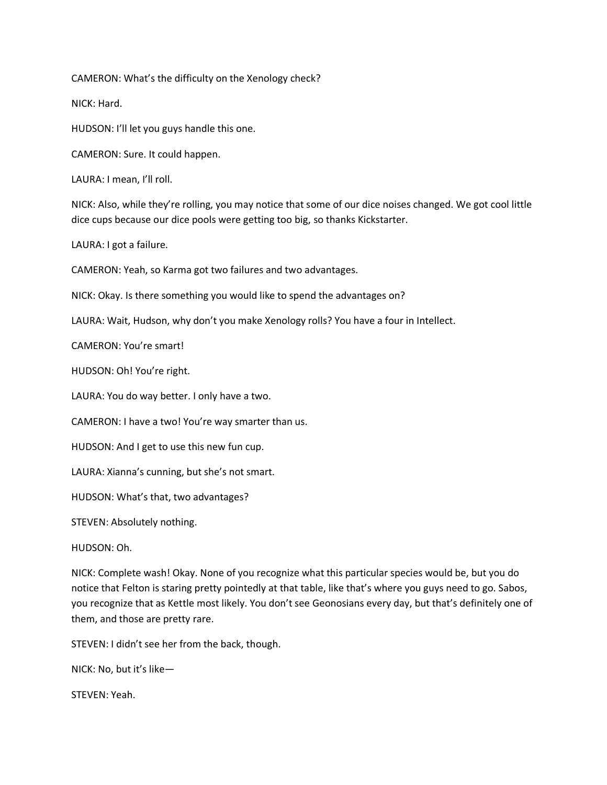CAMERON: What's the difficulty on the Xenology check?

NICK: Hard.

HUDSON: I'll let you guys handle this one.

CAMERON: Sure. It could happen.

LAURA: I mean, I'll roll.

NICK: Also, while they're rolling, you may notice that some of our dice noises changed. We got cool little dice cups because our dice pools were getting too big, so thanks Kickstarter.

LAURA: I got a failure.

CAMERON: Yeah, so Karma got two failures and two advantages.

NICK: Okay. Is there something you would like to spend the advantages on?

LAURA: Wait, Hudson, why don't you make Xenology rolls? You have a four in Intellect.

CAMERON: You're smart!

HUDSON: Oh! You're right.

LAURA: You do way better. I only have a two.

CAMERON: I have a two! You're way smarter than us.

HUDSON: And I get to use this new fun cup.

LAURA: Xianna's cunning, but she's not smart.

HUDSON: What's that, two advantages?

STEVEN: Absolutely nothing.

HUDSON: Oh.

NICK: Complete wash! Okay. None of you recognize what this particular species would be, but you do notice that Felton is staring pretty pointedly at that table, like that's where you guys need to go. Sabos, you recognize that as Kettle most likely. You don't see Geonosians every day, but that's definitely one of them, and those are pretty rare.

STEVEN: I didn't see her from the back, though.

NICK: No, but it's like—

STEVEN: Yeah.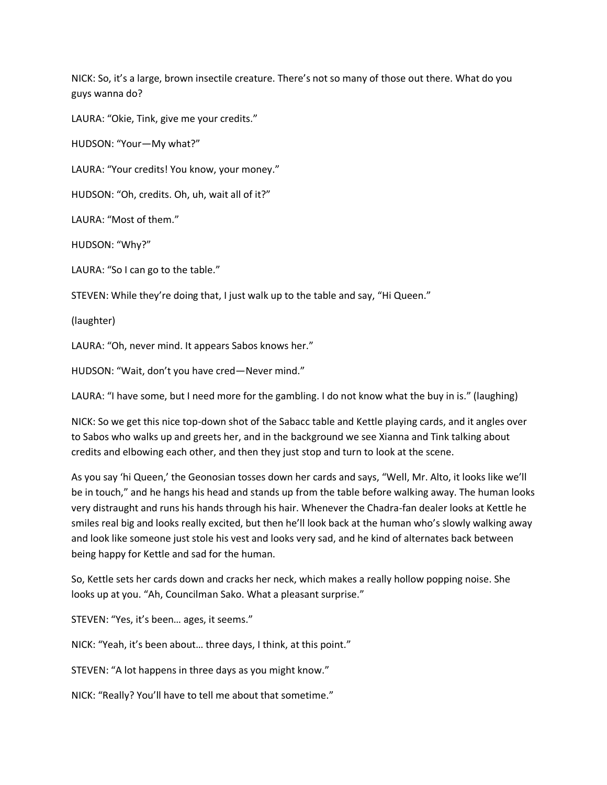NICK: So, it's a large, brown insectile creature. There's not so many of those out there. What do you guys wanna do?

LAURA: "Okie, Tink, give me your credits."

HUDSON: "Your—My what?"

LAURA: "Your credits! You know, your money."

HUDSON: "Oh, credits. Oh, uh, wait all of it?"

LAURA: "Most of them."

HUDSON: "Why?"

LAURA: "So I can go to the table."

STEVEN: While they're doing that, I just walk up to the table and say, "Hi Queen."

(laughter)

LAURA: "Oh, never mind. It appears Sabos knows her."

HUDSON: "Wait, don't you have cred—Never mind."

LAURA: "I have some, but I need more for the gambling. I do not know what the buy in is." (laughing)

NICK: So we get this nice top-down shot of the Sabacc table and Kettle playing cards, and it angles over to Sabos who walks up and greets her, and in the background we see Xianna and Tink talking about credits and elbowing each other, and then they just stop and turn to look at the scene.

As you say 'hi Queen,' the Geonosian tosses down her cards and says, "Well, Mr. Alto, it looks like we'll be in touch," and he hangs his head and stands up from the table before walking away. The human looks very distraught and runs his hands through his hair. Whenever the Chadra-fan dealer looks at Kettle he smiles real big and looks really excited, but then he'll look back at the human who's slowly walking away and look like someone just stole his vest and looks very sad, and he kind of alternates back between being happy for Kettle and sad for the human.

So, Kettle sets her cards down and cracks her neck, which makes a really hollow popping noise. She looks up at you. "Ah, Councilman Sako. What a pleasant surprise."

STEVEN: "Yes, it's been… ages, it seems."

NICK: "Yeah, it's been about… three days, I think, at this point."

STEVEN: "A lot happens in three days as you might know."

NICK: "Really? You'll have to tell me about that sometime."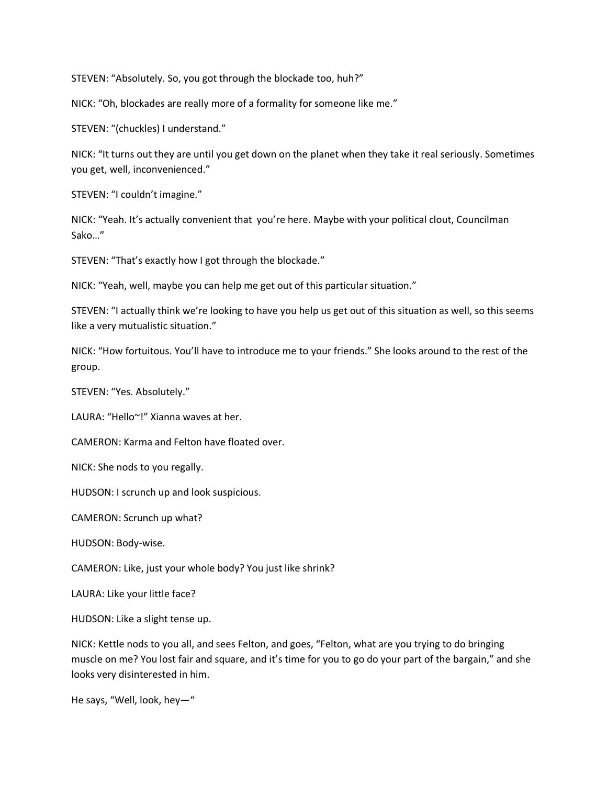STEVEN: "Absolutely. So, you got through the blockade too, huh?"

NICK: "Oh, blockades are really more of a formality for someone like me."

STEVEN: "(chuckles) I understand."

NICK: "It turns out they are until you get down on the planet when they take it real seriously. Sometimes you get, well, inconvenienced."

STEVEN: "I couldn't imagine."

NICK: "Yeah. It's actually convenient that you're here. Maybe with your political clout, Councilman Sako…"

STEVEN: "That's exactly how I got through the blockade."

NICK: "Yeah, well, maybe you can help me get out of this particular situation."

STEVEN: "I actually think we're looking to have you help us get out of this situation as well, so this seems like a very mutualistic situation."

NICK: "How fortuitous. You'll have to introduce me to your friends." She looks around to the rest of the group.

STEVEN: "Yes. Absolutely."

LAURA: "Hello~!" Xianna waves at her.

CAMERON: Karma and Felton have floated over.

NICK: She nods to you regally.

HUDSON: I scrunch up and look suspicious.

CAMERON: Scrunch up what?

HUDSON: Body-wise.

CAMERON: Like, just your whole body? You just like shrink?

LAURA: Like your little face?

HUDSON: Like a slight tense up.

NICK: Kettle nods to you all, and sees Felton, and goes, "Felton, what are you trying to do bringing muscle on me? You lost fair and square, and it's time for you to go do your part of the bargain," and she looks very disinterested in him.

He says, "Well, look, hey—"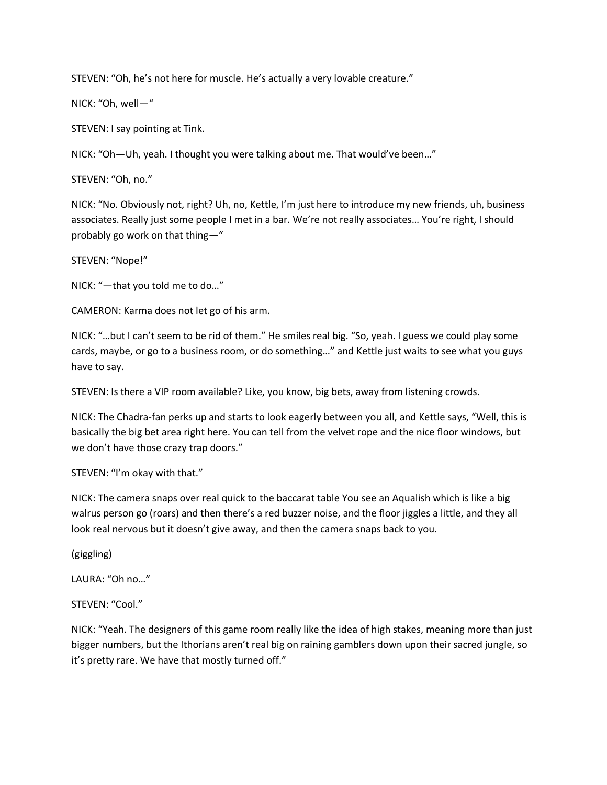STEVEN: "Oh, he's not here for muscle. He's actually a very lovable creature."

NICK: "Oh, well—"

STEVEN: I say pointing at Tink.

NICK: "Oh—Uh, yeah. I thought you were talking about me. That would've been…"

STEVEN: "Oh, no."

NICK: "No. Obviously not, right? Uh, no, Kettle, I'm just here to introduce my new friends, uh, business associates. Really just some people I met in a bar. We're not really associates… You're right, I should probably go work on that thing—"

STEVEN: "Nope!"

NICK: "—that you told me to do…"

CAMERON: Karma does not let go of his arm.

NICK: "…but I can't seem to be rid of them." He smiles real big. "So, yeah. I guess we could play some cards, maybe, or go to a business room, or do something…" and Kettle just waits to see what you guys have to say.

STEVEN: Is there a VIP room available? Like, you know, big bets, away from listening crowds.

NICK: The Chadra-fan perks up and starts to look eagerly between you all, and Kettle says, "Well, this is basically the big bet area right here. You can tell from the velvet rope and the nice floor windows, but we don't have those crazy trap doors."

STEVEN: "I'm okay with that."

NICK: The camera snaps over real quick to the baccarat table You see an Aqualish which is like a big walrus person go (roars) and then there's a red buzzer noise, and the floor jiggles a little, and they all look real nervous but it doesn't give away, and then the camera snaps back to you.

(giggling)

LAURA: "Oh no…"

STEVEN: "Cool."

NICK: "Yeah. The designers of this game room really like the idea of high stakes, meaning more than just bigger numbers, but the Ithorians aren't real big on raining gamblers down upon their sacred jungle, so it's pretty rare. We have that mostly turned off."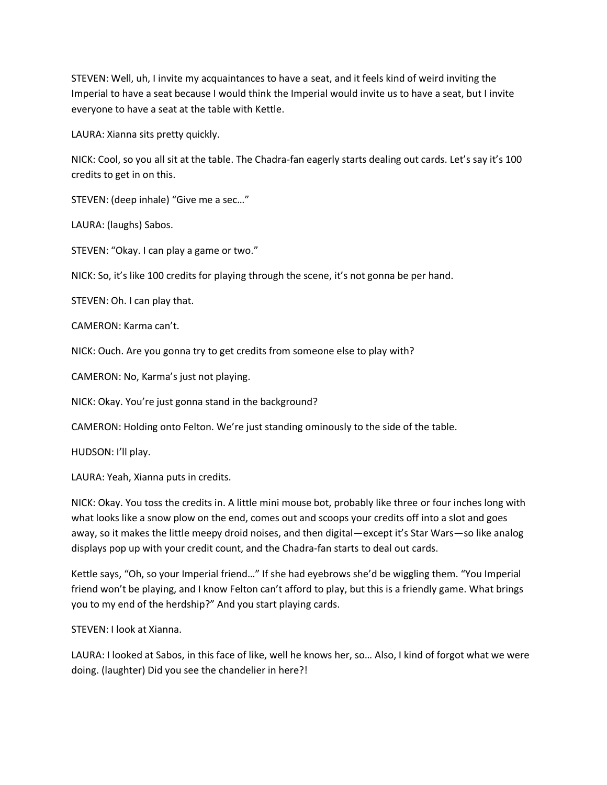STEVEN: Well, uh, I invite my acquaintances to have a seat, and it feels kind of weird inviting the Imperial to have a seat because I would think the Imperial would invite us to have a seat, but I invite everyone to have a seat at the table with Kettle.

LAURA: Xianna sits pretty quickly.

NICK: Cool, so you all sit at the table. The Chadra-fan eagerly starts dealing out cards. Let's say it's 100 credits to get in on this.

STEVEN: (deep inhale) "Give me a sec…"

LAURA: (laughs) Sabos.

STEVEN: "Okay. I can play a game or two."

NICK: So, it's like 100 credits for playing through the scene, it's not gonna be per hand.

STEVEN: Oh. I can play that.

CAMERON: Karma can't.

NICK: Ouch. Are you gonna try to get credits from someone else to play with?

CAMERON: No, Karma's just not playing.

NICK: Okay. You're just gonna stand in the background?

CAMERON: Holding onto Felton. We're just standing ominously to the side of the table.

HUDSON: I'll play.

LAURA: Yeah, Xianna puts in credits.

NICK: Okay. You toss the credits in. A little mini mouse bot, probably like three or four inches long with what looks like a snow plow on the end, comes out and scoops your credits off into a slot and goes away, so it makes the little meepy droid noises, and then digital—except it's Star Wars—so like analog displays pop up with your credit count, and the Chadra-fan starts to deal out cards.

Kettle says, "Oh, so your Imperial friend…" If she had eyebrows she'd be wiggling them. "You Imperial friend won't be playing, and I know Felton can't afford to play, but this is a friendly game. What brings you to my end of the herdship?" And you start playing cards.

STEVEN: I look at Xianna.

LAURA: I looked at Sabos, in this face of like, well he knows her, so… Also, I kind of forgot what we were doing. (laughter) Did you see the chandelier in here?!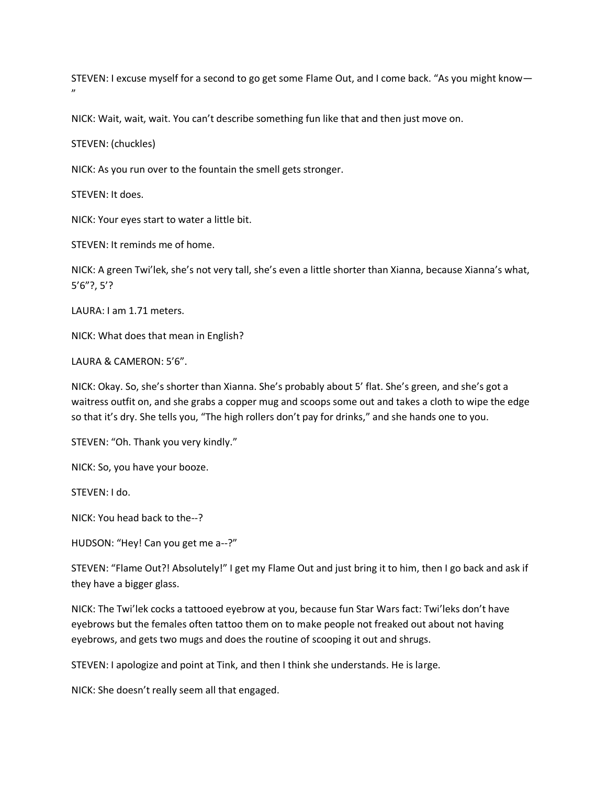STEVEN: I excuse myself for a second to go get some Flame Out, and I come back. "As you might know—  $\mathbf{v}$ 

NICK: Wait, wait, wait. You can't describe something fun like that and then just move on.

STEVEN: (chuckles)

NICK: As you run over to the fountain the smell gets stronger.

STEVEN: It does.

NICK: Your eyes start to water a little bit.

STEVEN: It reminds me of home.

NICK: A green Twi'lek, she's not very tall, she's even a little shorter than Xianna, because Xianna's what, 5'6"?, 5'?

LAURA: I am 1.71 meters.

NICK: What does that mean in English?

LAURA & CAMERON: 5'6".

NICK: Okay. So, she's shorter than Xianna. She's probably about 5' flat. She's green, and she's got a waitress outfit on, and she grabs a copper mug and scoops some out and takes a cloth to wipe the edge so that it's dry. She tells you, "The high rollers don't pay for drinks," and she hands one to you.

STEVEN: "Oh. Thank you very kindly."

NICK: So, you have your booze.

STEVEN: I do.

NICK: You head back to the--?

HUDSON: "Hey! Can you get me a--?"

STEVEN: "Flame Out?! Absolutely!" I get my Flame Out and just bring it to him, then I go back and ask if they have a bigger glass.

NICK: The Twi'lek cocks a tattooed eyebrow at you, because fun Star Wars fact: Twi'leks don't have eyebrows but the females often tattoo them on to make people not freaked out about not having eyebrows, and gets two mugs and does the routine of scooping it out and shrugs.

STEVEN: I apologize and point at Tink, and then I think she understands. He is large.

NICK: She doesn't really seem all that engaged.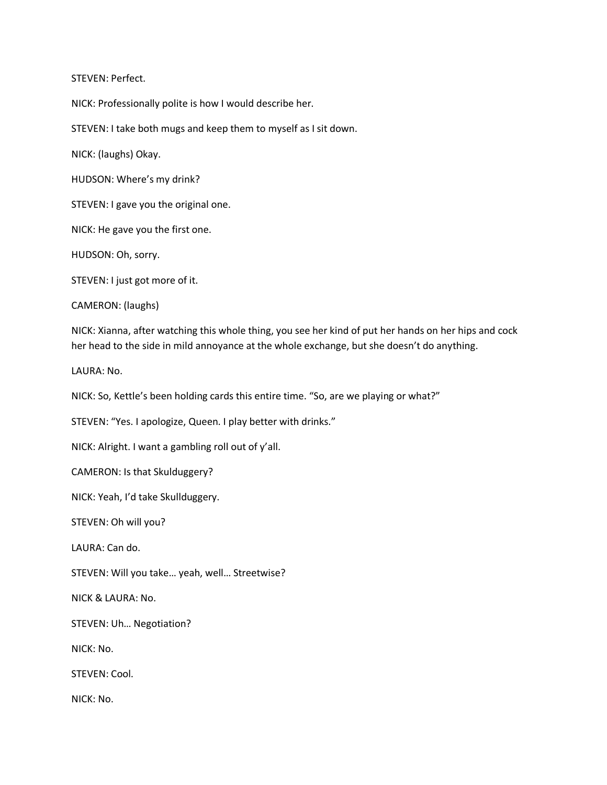STEVEN: Perfect.

NICK: Professionally polite is how I would describe her.

STEVEN: I take both mugs and keep them to myself as I sit down.

NICK: (laughs) Okay.

HUDSON: Where's my drink?

STEVEN: I gave you the original one.

NICK: He gave you the first one.

HUDSON: Oh, sorry.

STEVEN: I just got more of it.

CAMERON: (laughs)

NICK: Xianna, after watching this whole thing, you see her kind of put her hands on her hips and cock her head to the side in mild annoyance at the whole exchange, but she doesn't do anything.

LAURA: No.

NICK: So, Kettle's been holding cards this entire time. "So, are we playing or what?"

STEVEN: "Yes. I apologize, Queen. I play better with drinks."

NICK: Alright. I want a gambling roll out of y'all.

CAMERON: Is that Skulduggery?

NICK: Yeah, I'd take Skullduggery.

STEVEN: Oh will you?

LAURA: Can do.

STEVEN: Will you take… yeah, well… Streetwise?

NICK & LAURA: No.

STEVEN: Uh… Negotiation?

NICK: No.

STEVEN: Cool.

NICK: No.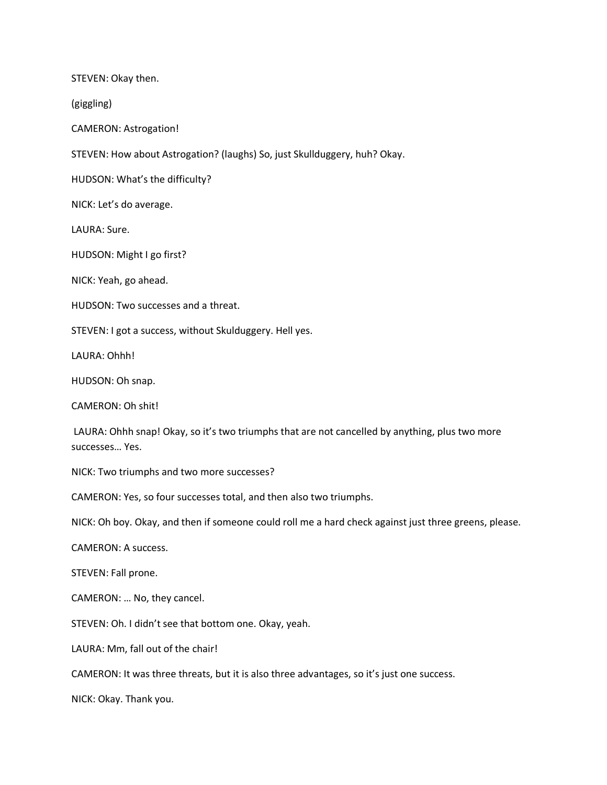STEVEN: Okay then.

(giggling)

CAMERON: Astrogation!

STEVEN: How about Astrogation? (laughs) So, just Skullduggery, huh? Okay.

HUDSON: What's the difficulty?

NICK: Let's do average.

LAURA: Sure.

HUDSON: Might I go first?

NICK: Yeah, go ahead.

HUDSON: Two successes and a threat.

STEVEN: I got a success, without Skulduggery. Hell yes.

LAURA: Ohhh!

HUDSON: Oh snap.

CAMERON: Oh shit!

LAURA: Ohhh snap! Okay, so it's two triumphs that are not cancelled by anything, plus two more successes… Yes.

NICK: Two triumphs and two more successes?

CAMERON: Yes, so four successes total, and then also two triumphs.

NICK: Oh boy. Okay, and then if someone could roll me a hard check against just three greens, please.

CAMERON: A success.

STEVEN: Fall prone.

CAMERON: … No, they cancel.

STEVEN: Oh. I didn't see that bottom one. Okay, yeah.

LAURA: Mm, fall out of the chair!

CAMERON: It was three threats, but it is also three advantages, so it's just one success.

NICK: Okay. Thank you.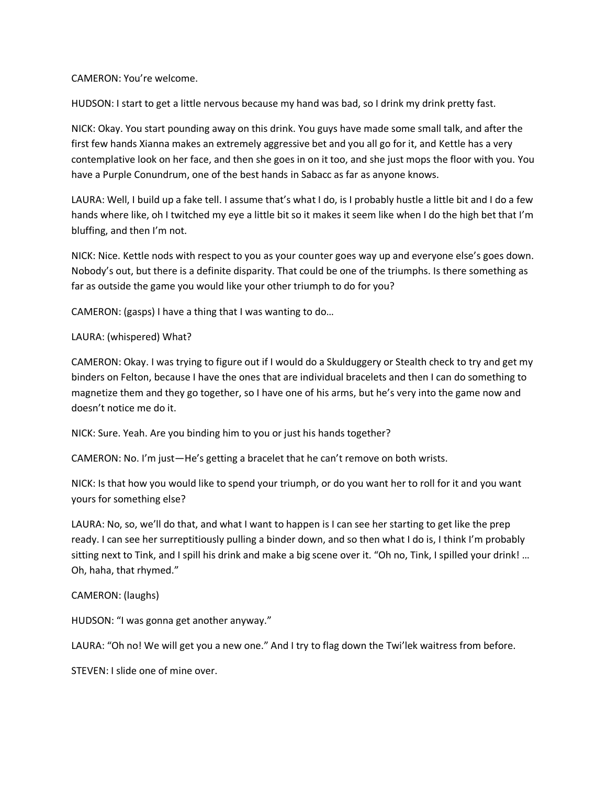#### CAMERON: You're welcome.

HUDSON: I start to get a little nervous because my hand was bad, so I drink my drink pretty fast.

NICK: Okay. You start pounding away on this drink. You guys have made some small talk, and after the first few hands Xianna makes an extremely aggressive bet and you all go for it, and Kettle has a very contemplative look on her face, and then she goes in on it too, and she just mops the floor with you. You have a Purple Conundrum, one of the best hands in Sabacc as far as anyone knows.

LAURA: Well, I build up a fake tell. I assume that's what I do, is I probably hustle a little bit and I do a few hands where like, oh I twitched my eye a little bit so it makes it seem like when I do the high bet that I'm bluffing, and then I'm not.

NICK: Nice. Kettle nods with respect to you as your counter goes way up and everyone else's goes down. Nobody's out, but there is a definite disparity. That could be one of the triumphs. Is there something as far as outside the game you would like your other triumph to do for you?

CAMERON: (gasps) I have a thing that I was wanting to do…

# LAURA: (whispered) What?

CAMERON: Okay. I was trying to figure out if I would do a Skulduggery or Stealth check to try and get my binders on Felton, because I have the ones that are individual bracelets and then I can do something to magnetize them and they go together, so I have one of his arms, but he's very into the game now and doesn't notice me do it.

NICK: Sure. Yeah. Are you binding him to you or just his hands together?

CAMERON: No. I'm just—He's getting a bracelet that he can't remove on both wrists.

NICK: Is that how you would like to spend your triumph, or do you want her to roll for it and you want yours for something else?

LAURA: No, so, we'll do that, and what I want to happen is I can see her starting to get like the prep ready. I can see her surreptitiously pulling a binder down, and so then what I do is, I think I'm probably sitting next to Tink, and I spill his drink and make a big scene over it. "Oh no, Tink, I spilled your drink! … Oh, haha, that rhymed."

# CAMERON: (laughs)

HUDSON: "I was gonna get another anyway."

LAURA: "Oh no! We will get you a new one." And I try to flag down the Twi'lek waitress from before.

STEVEN: I slide one of mine over.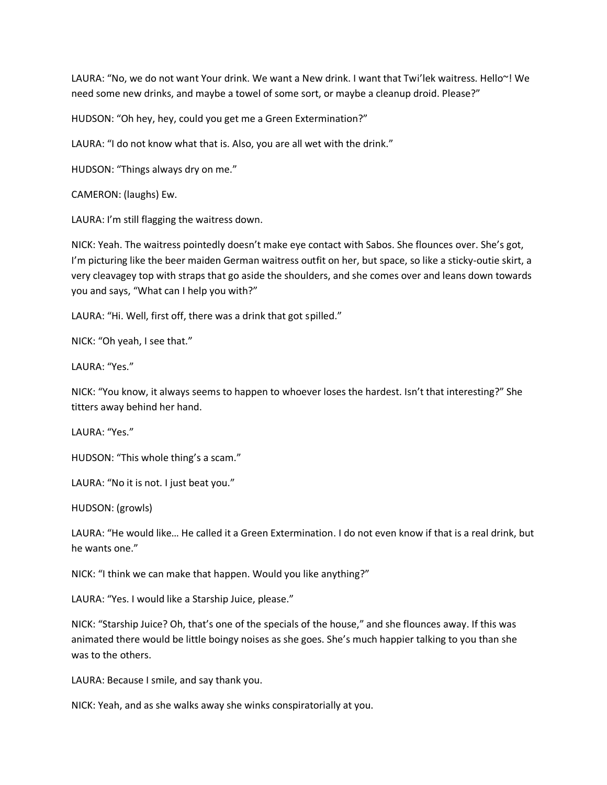LAURA: "No, we do not want Your drink. We want a New drink. I want that Twi'lek waitress. Hello~! We need some new drinks, and maybe a towel of some sort, or maybe a cleanup droid. Please?"

HUDSON: "Oh hey, hey, could you get me a Green Extermination?"

LAURA: "I do not know what that is. Also, you are all wet with the drink."

HUDSON: "Things always dry on me."

CAMERON: (laughs) Ew.

LAURA: I'm still flagging the waitress down.

NICK: Yeah. The waitress pointedly doesn't make eye contact with Sabos. She flounces over. She's got, I'm picturing like the beer maiden German waitress outfit on her, but space, so like a sticky-outie skirt, a very cleavagey top with straps that go aside the shoulders, and she comes over and leans down towards you and says, "What can I help you with?"

LAURA: "Hi. Well, first off, there was a drink that got spilled."

NICK: "Oh yeah, I see that."

LAURA: "Yes."

NICK: "You know, it always seems to happen to whoever loses the hardest. Isn't that interesting?" She titters away behind her hand.

LAURA: "Yes."

HUDSON: "This whole thing's a scam."

LAURA: "No it is not. I just beat you."

HUDSON: (growls)

LAURA: "He would like… He called it a Green Extermination. I do not even know if that is a real drink, but he wants one."

NICK: "I think we can make that happen. Would you like anything?"

LAURA: "Yes. I would like a Starship Juice, please."

NICK: "Starship Juice? Oh, that's one of the specials of the house," and she flounces away. If this was animated there would be little boingy noises as she goes. She's much happier talking to you than she was to the others.

LAURA: Because I smile, and say thank you.

NICK: Yeah, and as she walks away she winks conspiratorially at you.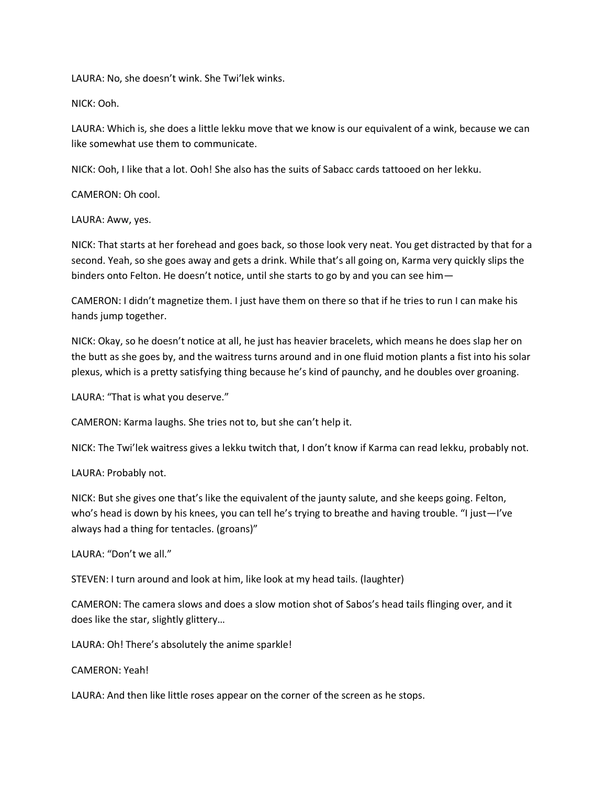LAURA: No, she doesn't wink. She Twi'lek winks.

NICK: Ooh.

LAURA: Which is, she does a little lekku move that we know is our equivalent of a wink, because we can like somewhat use them to communicate.

NICK: Ooh, I like that a lot. Ooh! She also has the suits of Sabacc cards tattooed on her lekku.

CAMERON: Oh cool.

LAURA: Aww, yes.

NICK: That starts at her forehead and goes back, so those look very neat. You get distracted by that for a second. Yeah, so she goes away and gets a drink. While that's all going on, Karma very quickly slips the binders onto Felton. He doesn't notice, until she starts to go by and you can see him—

CAMERON: I didn't magnetize them. I just have them on there so that if he tries to run I can make his hands jump together.

NICK: Okay, so he doesn't notice at all, he just has heavier bracelets, which means he does slap her on the butt as she goes by, and the waitress turns around and in one fluid motion plants a fist into his solar plexus, which is a pretty satisfying thing because he's kind of paunchy, and he doubles over groaning.

LAURA: "That is what you deserve."

CAMERON: Karma laughs. She tries not to, but she can't help it.

NICK: The Twi'lek waitress gives a lekku twitch that, I don't know if Karma can read lekku, probably not.

LAURA: Probably not.

NICK: But she gives one that's like the equivalent of the jaunty salute, and she keeps going. Felton, who's head is down by his knees, you can tell he's trying to breathe and having trouble. "I just-I've always had a thing for tentacles. (groans)"

LAURA: "Don't we all."

STEVEN: I turn around and look at him, like look at my head tails. (laughter)

CAMERON: The camera slows and does a slow motion shot of Sabos's head tails flinging over, and it does like the star, slightly glittery…

LAURA: Oh! There's absolutely the anime sparkle!

CAMERON: Yeah!

LAURA: And then like little roses appear on the corner of the screen as he stops.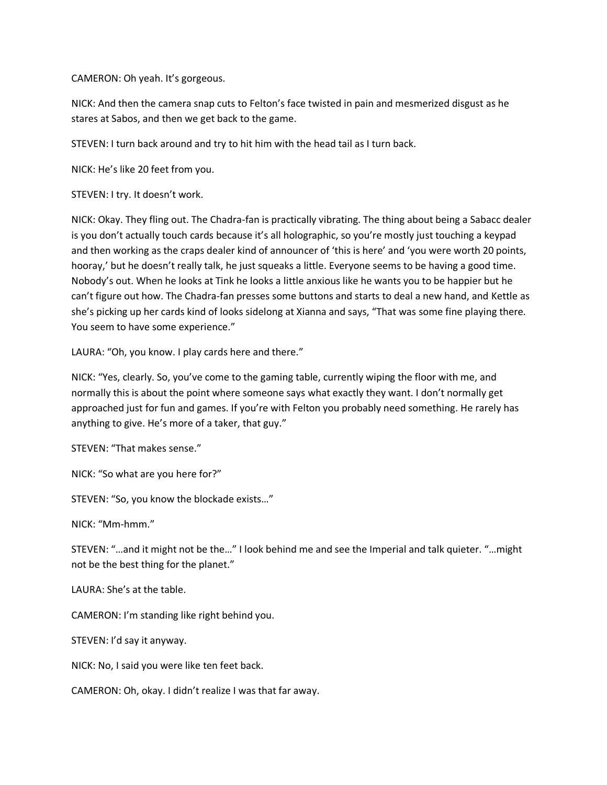CAMERON: Oh yeah. It's gorgeous.

NICK: And then the camera snap cuts to Felton's face twisted in pain and mesmerized disgust as he stares at Sabos, and then we get back to the game.

STEVEN: I turn back around and try to hit him with the head tail as I turn back.

NICK: He's like 20 feet from you.

STEVEN: I try. It doesn't work.

NICK: Okay. They fling out. The Chadra-fan is practically vibrating. The thing about being a Sabacc dealer is you don't actually touch cards because it's all holographic, so you're mostly just touching a keypad and then working as the craps dealer kind of announcer of 'this is here' and 'you were worth 20 points, hooray,' but he doesn't really talk, he just squeaks a little. Everyone seems to be having a good time. Nobody's out. When he looks at Tink he looks a little anxious like he wants you to be happier but he can't figure out how. The Chadra-fan presses some buttons and starts to deal a new hand, and Kettle as she's picking up her cards kind of looks sidelong at Xianna and says, "That was some fine playing there. You seem to have some experience."

LAURA: "Oh, you know. I play cards here and there."

NICK: "Yes, clearly. So, you've come to the gaming table, currently wiping the floor with me, and normally this is about the point where someone says what exactly they want. I don't normally get approached just for fun and games. If you're with Felton you probably need something. He rarely has anything to give. He's more of a taker, that guy."

STEVEN: "That makes sense."

NICK: "So what are you here for?"

STEVEN: "So, you know the blockade exists…"

NICK: "Mm-hmm."

STEVEN: "…and it might not be the…" I look behind me and see the Imperial and talk quieter. "…might not be the best thing for the planet."

LAURA: She's at the table.

CAMERON: I'm standing like right behind you.

STEVEN: I'd say it anyway.

NICK: No, I said you were like ten feet back.

CAMERON: Oh, okay. I didn't realize I was that far away.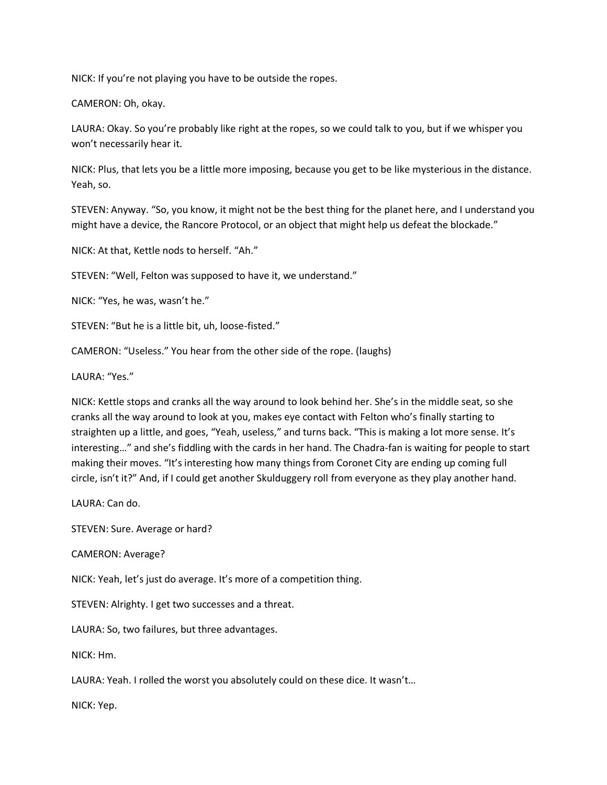NICK: If you're not playing you have to be outside the ropes.

CAMERON: Oh, okay.

LAURA: Okay. So you're probably like right at the ropes, so we could talk to you, but if we whisper you won't necessarily hear it.

NICK: Plus, that lets you be a little more imposing, because you get to be like mysterious in the distance. Yeah, so.

STEVEN: Anyway. "So, you know, it might not be the best thing for the planet here, and I understand you might have a device, the Rancore Protocol, or an object that might help us defeat the blockade."

NICK: At that, Kettle nods to herself. "Ah."

STEVEN: "Well, Felton was supposed to have it, we understand."

NICK: "Yes, he was, wasn't he."

STEVEN: "But he is a little bit, uh, loose-fisted."

CAMERON: "Useless." You hear from the other side of the rope. (laughs)

LAURA: "Yes."

NICK: Kettle stops and cranks all the way around to look behind her. She's in the middle seat, so she cranks all the way around to look at you, makes eye contact with Felton who's finally starting to straighten up a little, and goes, "Yeah, useless," and turns back. "This is making a lot more sense. It's interesting…" and she's fiddling with the cards in her hand. The Chadra-fan is waiting for people to start making their moves. "It's interesting how many things from Coronet City are ending up coming full circle, isn't it?" And, if I could get another Skulduggery roll from everyone as they play another hand.

LAURA: Can do.

STEVEN: Sure. Average or hard?

CAMERON: Average?

NICK: Yeah, let's just do average. It's more of a competition thing.

STEVEN: Alrighty. I get two successes and a threat.

LAURA: So, two failures, but three advantages.

NICK: Hm.

LAURA: Yeah. I rolled the worst you absolutely could on these dice. It wasn't…

NICK: Yep.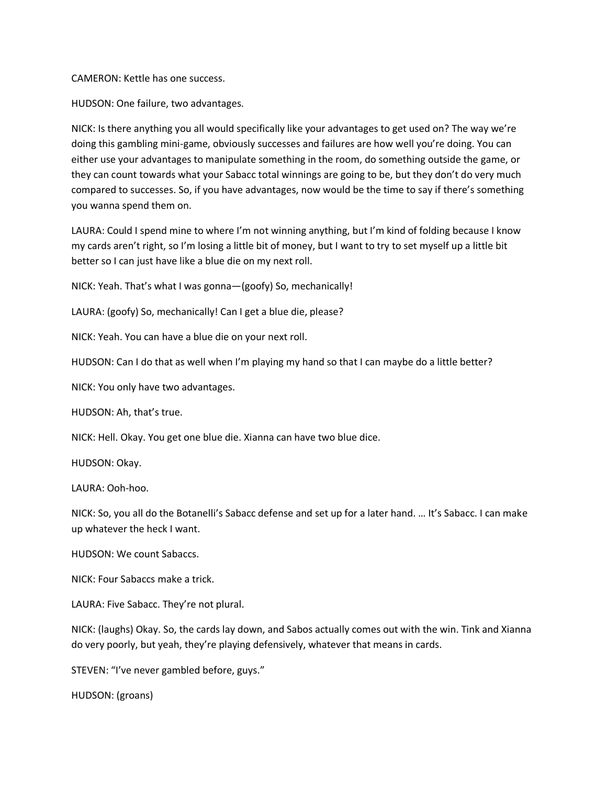CAMERON: Kettle has one success.

HUDSON: One failure, two advantages.

NICK: Is there anything you all would specifically like your advantages to get used on? The way we're doing this gambling mini-game, obviously successes and failures are how well you're doing. You can either use your advantages to manipulate something in the room, do something outside the game, or they can count towards what your Sabacc total winnings are going to be, but they don't do very much compared to successes. So, if you have advantages, now would be the time to say if there's something you wanna spend them on.

LAURA: Could I spend mine to where I'm not winning anything, but I'm kind of folding because I know my cards aren't right, so I'm losing a little bit of money, but I want to try to set myself up a little bit better so I can just have like a blue die on my next roll.

NICK: Yeah. That's what I was gonna—(goofy) So, mechanically!

LAURA: (goofy) So, mechanically! Can I get a blue die, please?

NICK: Yeah. You can have a blue die on your next roll.

HUDSON: Can I do that as well when I'm playing my hand so that I can maybe do a little better?

NICK: You only have two advantages.

HUDSON: Ah, that's true.

NICK: Hell. Okay. You get one blue die. Xianna can have two blue dice.

HUDSON: Okay.

LAURA: Ooh-hoo.

NICK: So, you all do the Botanelli's Sabacc defense and set up for a later hand. … It's Sabacc. I can make up whatever the heck I want.

HUDSON: We count Sabaccs.

NICK: Four Sabaccs make a trick.

LAURA: Five Sabacc. They're not plural.

NICK: (laughs) Okay. So, the cards lay down, and Sabos actually comes out with the win. Tink and Xianna do very poorly, but yeah, they're playing defensively, whatever that means in cards.

STEVEN: "I've never gambled before, guys."

HUDSON: (groans)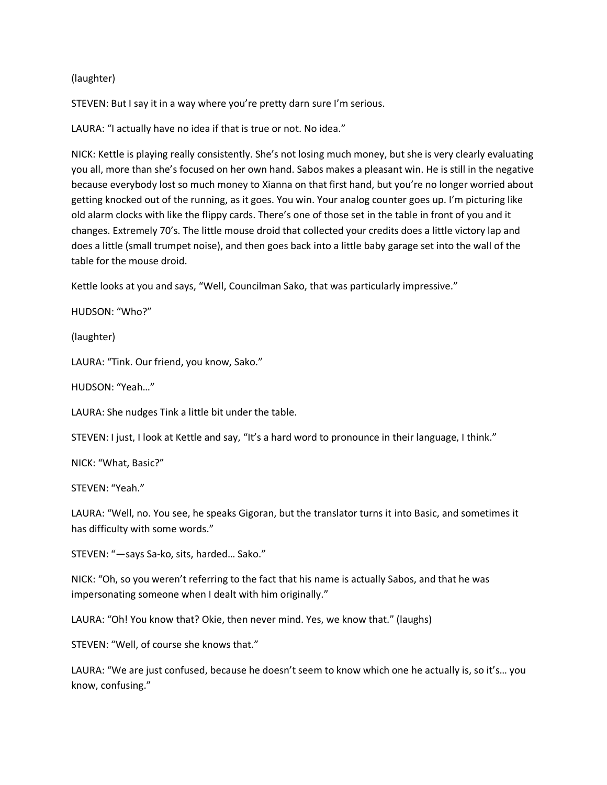#### (laughter)

STEVEN: But I say it in a way where you're pretty darn sure I'm serious.

LAURA: "I actually have no idea if that is true or not. No idea."

NICK: Kettle is playing really consistently. She's not losing much money, but she is very clearly evaluating you all, more than she's focused on her own hand. Sabos makes a pleasant win. He is still in the negative because everybody lost so much money to Xianna on that first hand, but you're no longer worried about getting knocked out of the running, as it goes. You win. Your analog counter goes up. I'm picturing like old alarm clocks with like the flippy cards. There's one of those set in the table in front of you and it changes. Extremely 70's. The little mouse droid that collected your credits does a little victory lap and does a little (small trumpet noise), and then goes back into a little baby garage set into the wall of the table for the mouse droid.

Kettle looks at you and says, "Well, Councilman Sako, that was particularly impressive."

HUDSON: "Who?"

(laughter)

LAURA: "Tink. Our friend, you know, Sako."

HUDSON: "Yeah…"

LAURA: She nudges Tink a little bit under the table.

STEVEN: I just, I look at Kettle and say, "It's a hard word to pronounce in their language, I think."

NICK: "What, Basic?"

STEVEN: "Yeah."

LAURA: "Well, no. You see, he speaks Gigoran, but the translator turns it into Basic, and sometimes it has difficulty with some words."

STEVEN: "—says Sa-ko, sits, harded… Sako."

NICK: "Oh, so you weren't referring to the fact that his name is actually Sabos, and that he was impersonating someone when I dealt with him originally."

LAURA: "Oh! You know that? Okie, then never mind. Yes, we know that." (laughs)

STEVEN: "Well, of course she knows that."

LAURA: "We are just confused, because he doesn't seem to know which one he actually is, so it's… you know, confusing."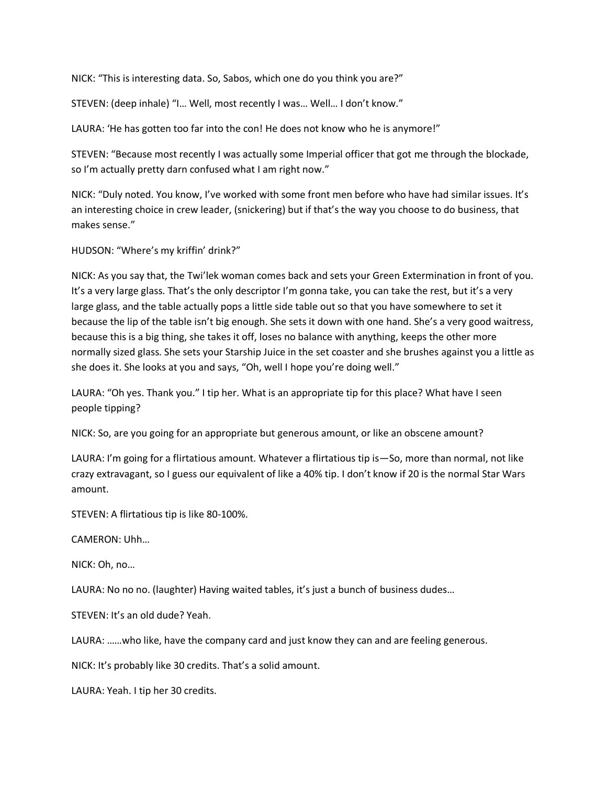NICK: "This is interesting data. So, Sabos, which one do you think you are?"

STEVEN: (deep inhale) "I… Well, most recently I was… Well… I don't know."

LAURA: 'He has gotten too far into the con! He does not know who he is anymore!"

STEVEN: "Because most recently I was actually some Imperial officer that got me through the blockade, so I'm actually pretty darn confused what I am right now."

NICK: "Duly noted. You know, I've worked with some front men before who have had similar issues. It's an interesting choice in crew leader, (snickering) but if that's the way you choose to do business, that makes sense."

HUDSON: "Where's my kriffin' drink?"

NICK: As you say that, the Twi'lek woman comes back and sets your Green Extermination in front of you. It's a very large glass. That's the only descriptor I'm gonna take, you can take the rest, but it's a very large glass, and the table actually pops a little side table out so that you have somewhere to set it because the lip of the table isn't big enough. She sets it down with one hand. She's a very good waitress, because this is a big thing, she takes it off, loses no balance with anything, keeps the other more normally sized glass. She sets your Starship Juice in the set coaster and she brushes against you a little as she does it. She looks at you and says, "Oh, well I hope you're doing well."

LAURA: "Oh yes. Thank you." I tip her. What is an appropriate tip for this place? What have I seen people tipping?

NICK: So, are you going for an appropriate but generous amount, or like an obscene amount?

LAURA: I'm going for a flirtatious amount. Whatever a flirtatious tip is—So, more than normal, not like crazy extravagant, so I guess our equivalent of like a 40% tip. I don't know if 20 is the normal Star Wars amount.

STEVEN: A flirtatious tip is like 80-100%.

CAMERON: Uhh…

NICK: Oh, no…

LAURA: No no no. (laughter) Having waited tables, it's just a bunch of business dudes…

STEVEN: It's an old dude? Yeah.

LAURA: ……who like, have the company card and just know they can and are feeling generous.

NICK: It's probably like 30 credits. That's a solid amount.

LAURA: Yeah. I tip her 30 credits.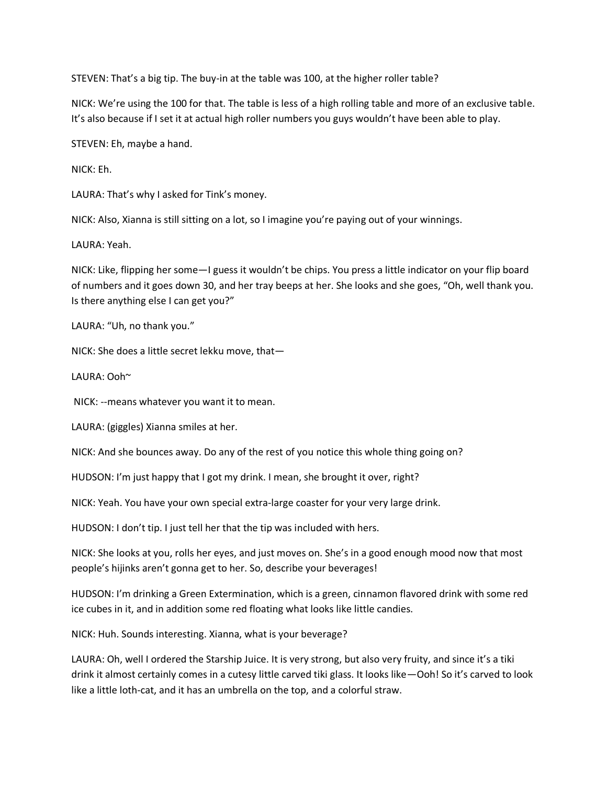STEVEN: That's a big tip. The buy-in at the table was 100, at the higher roller table?

NICK: We're using the 100 for that. The table is less of a high rolling table and more of an exclusive table. It's also because if I set it at actual high roller numbers you guys wouldn't have been able to play.

STEVEN: Eh, maybe a hand.

NICK: Eh.

LAURA: That's why I asked for Tink's money.

NICK: Also, Xianna is still sitting on a lot, so I imagine you're paying out of your winnings.

LAURA: Yeah.

NICK: Like, flipping her some—I guess it wouldn't be chips. You press a little indicator on your flip board of numbers and it goes down 30, and her tray beeps at her. She looks and she goes, "Oh, well thank you. Is there anything else I can get you?"

LAURA: "Uh, no thank you."

NICK: She does a little secret lekku move, that—

LAURA: Ooh~

NICK: --means whatever you want it to mean.

LAURA: (giggles) Xianna smiles at her.

NICK: And she bounces away. Do any of the rest of you notice this whole thing going on?

HUDSON: I'm just happy that I got my drink. I mean, she brought it over, right?

NICK: Yeah. You have your own special extra-large coaster for your very large drink.

HUDSON: I don't tip. I just tell her that the tip was included with hers.

NICK: She looks at you, rolls her eyes, and just moves on. She's in a good enough mood now that most people's hijinks aren't gonna get to her. So, describe your beverages!

HUDSON: I'm drinking a Green Extermination, which is a green, cinnamon flavored drink with some red ice cubes in it, and in addition some red floating what looks like little candies.

NICK: Huh. Sounds interesting. Xianna, what is your beverage?

LAURA: Oh, well I ordered the Starship Juice. It is very strong, but also very fruity, and since it's a tiki drink it almost certainly comes in a cutesy little carved tiki glass. It looks like—Ooh! So it's carved to look like a little loth-cat, and it has an umbrella on the top, and a colorful straw.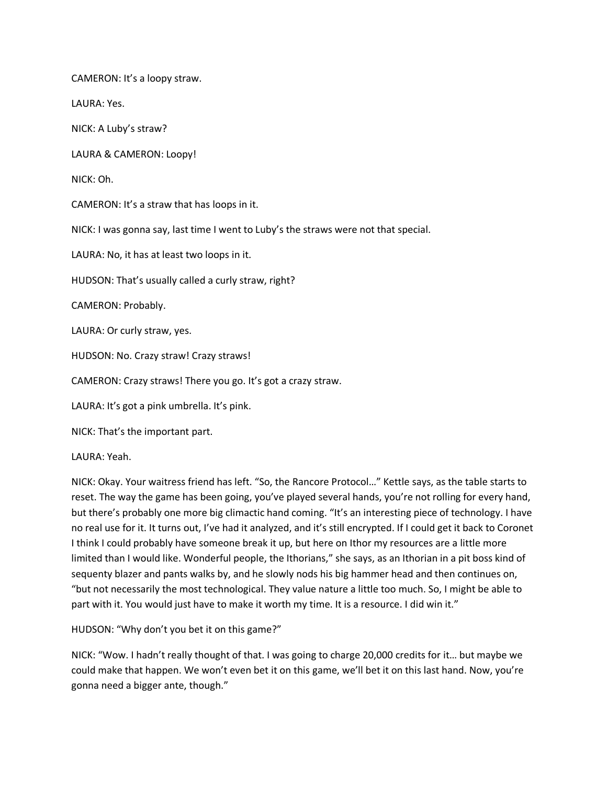CAMERON: It's a loopy straw.

LAURA: Yes.

NICK: A Luby's straw?

LAURA & CAMERON: Loopy!

NICK: Oh.

CAMERON: It's a straw that has loops in it.

NICK: I was gonna say, last time I went to Luby's the straws were not that special.

LAURA: No, it has at least two loops in it.

HUDSON: That's usually called a curly straw, right?

CAMERON: Probably.

LAURA: Or curly straw, yes.

HUDSON: No. Crazy straw! Crazy straws!

CAMERON: Crazy straws! There you go. It's got a crazy straw.

LAURA: It's got a pink umbrella. It's pink.

NICK: That's the important part.

LAURA: Yeah.

NICK: Okay. Your waitress friend has left. "So, the Rancore Protocol…" Kettle says, as the table starts to reset. The way the game has been going, you've played several hands, you're not rolling for every hand, but there's probably one more big climactic hand coming. "It's an interesting piece of technology. I have no real use for it. It turns out, I've had it analyzed, and it's still encrypted. If I could get it back to Coronet I think I could probably have someone break it up, but here on Ithor my resources are a little more limited than I would like. Wonderful people, the Ithorians," she says, as an Ithorian in a pit boss kind of sequenty blazer and pants walks by, and he slowly nods his big hammer head and then continues on, "but not necessarily the most technological. They value nature a little too much. So, I might be able to part with it. You would just have to make it worth my time. It is a resource. I did win it."

HUDSON: "Why don't you bet it on this game?"

NICK: "Wow. I hadn't really thought of that. I was going to charge 20,000 credits for it… but maybe we could make that happen. We won't even bet it on this game, we'll bet it on this last hand. Now, you're gonna need a bigger ante, though."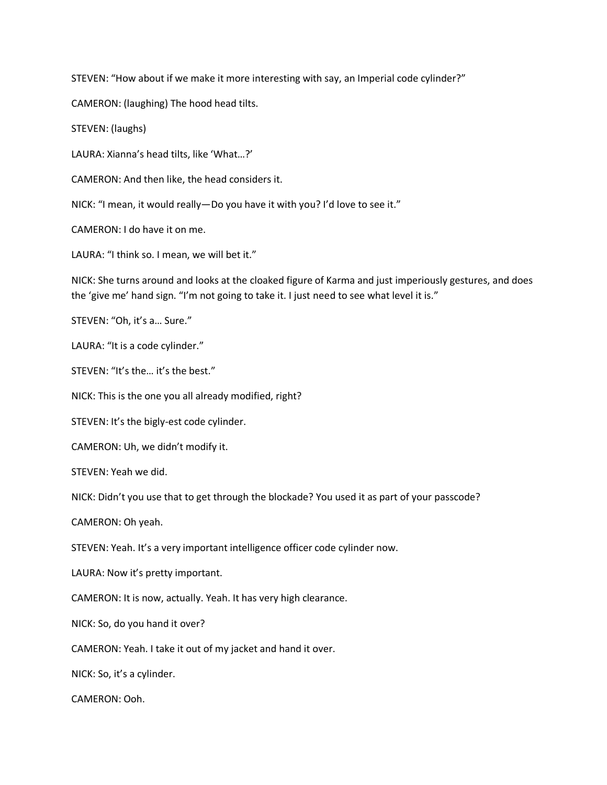STEVEN: "How about if we make it more interesting with say, an Imperial code cylinder?"

CAMERON: (laughing) The hood head tilts.

STEVEN: (laughs)

LAURA: Xianna's head tilts, like 'What…?'

CAMERON: And then like, the head considers it.

NICK: "I mean, it would really—Do you have it with you? I'd love to see it."

CAMERON: I do have it on me.

LAURA: "I think so. I mean, we will bet it."

NICK: She turns around and looks at the cloaked figure of Karma and just imperiously gestures, and does the 'give me' hand sign. "I'm not going to take it. I just need to see what level it is."

STEVEN: "Oh, it's a… Sure."

LAURA: "It is a code cylinder."

STEVEN: "It's the… it's the best."

NICK: This is the one you all already modified, right?

STEVEN: It's the bigly-est code cylinder.

CAMERON: Uh, we didn't modify it.

STEVEN: Yeah we did.

NICK: Didn't you use that to get through the blockade? You used it as part of your passcode?

CAMERON: Oh yeah.

STEVEN: Yeah. It's a very important intelligence officer code cylinder now.

LAURA: Now it's pretty important.

CAMERON: It is now, actually. Yeah. It has very high clearance.

NICK: So, do you hand it over?

CAMERON: Yeah. I take it out of my jacket and hand it over.

NICK: So, it's a cylinder.

CAMERON: Ooh.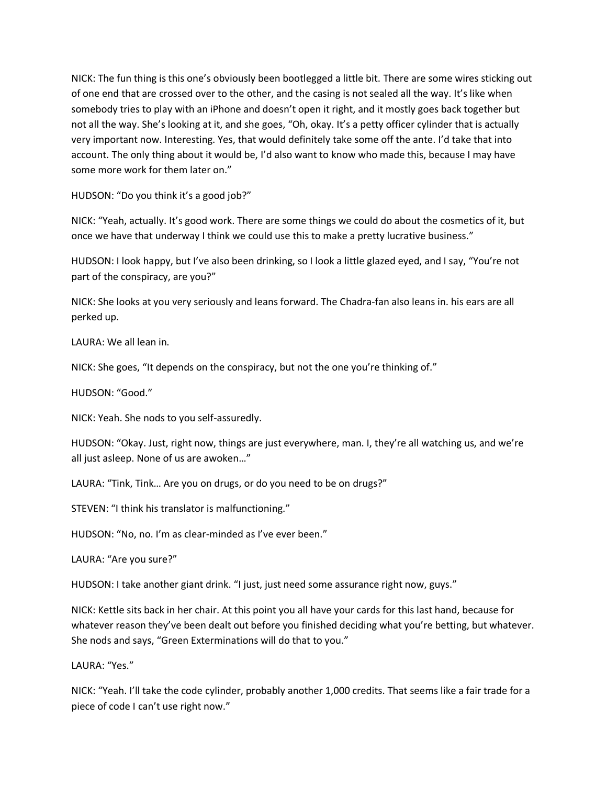NICK: The fun thing is this one's obviously been bootlegged a little bit. There are some wires sticking out of one end that are crossed over to the other, and the casing is not sealed all the way. It's like when somebody tries to play with an iPhone and doesn't open it right, and it mostly goes back together but not all the way. She's looking at it, and she goes, "Oh, okay. It's a petty officer cylinder that is actually very important now. Interesting. Yes, that would definitely take some off the ante. I'd take that into account. The only thing about it would be, I'd also want to know who made this, because I may have some more work for them later on."

HUDSON: "Do you think it's a good job?"

NICK: "Yeah, actually. It's good work. There are some things we could do about the cosmetics of it, but once we have that underway I think we could use this to make a pretty lucrative business."

HUDSON: I look happy, but I've also been drinking, so I look a little glazed eyed, and I say, "You're not part of the conspiracy, are you?"

NICK: She looks at you very seriously and leans forward. The Chadra-fan also leans in. his ears are all perked up.

LAURA: We all lean in.

NICK: She goes, "It depends on the conspiracy, but not the one you're thinking of."

HUDSON: "Good."

NICK: Yeah. She nods to you self-assuredly.

HUDSON: "Okay. Just, right now, things are just everywhere, man. I, they're all watching us, and we're all just asleep. None of us are awoken…"

LAURA: "Tink, Tink… Are you on drugs, or do you need to be on drugs?"

STEVEN: "I think his translator is malfunctioning."

HUDSON: "No, no. I'm as clear-minded as I've ever been."

LAURA: "Are you sure?"

HUDSON: I take another giant drink. "I just, just need some assurance right now, guys."

NICK: Kettle sits back in her chair. At this point you all have your cards for this last hand, because for whatever reason they've been dealt out before you finished deciding what you're betting, but whatever. She nods and says, "Green Exterminations will do that to you."

LAURA: "Yes."

NICK: "Yeah. I'll take the code cylinder, probably another 1,000 credits. That seems like a fair trade for a piece of code I can't use right now."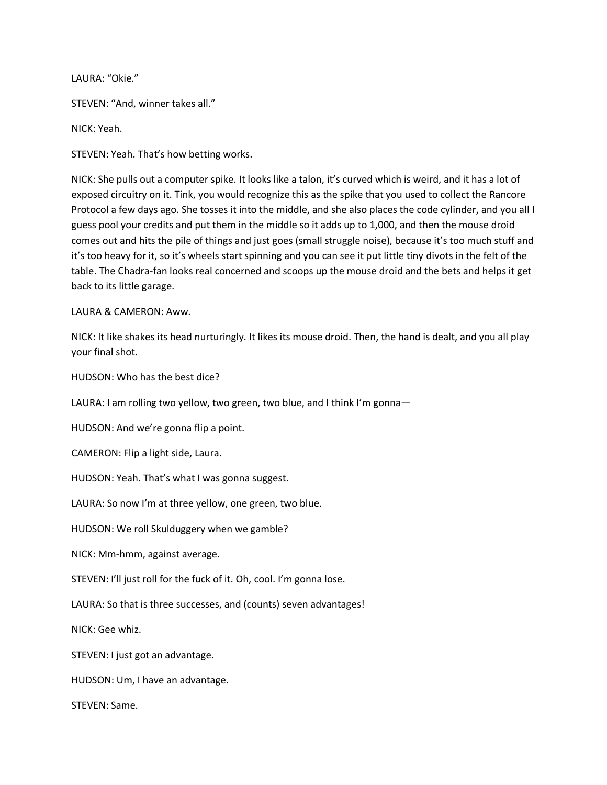LAURA: "Okie."

STEVEN: "And, winner takes all."

NICK: Yeah.

STEVEN: Yeah. That's how betting works.

NICK: She pulls out a computer spike. It looks like a talon, it's curved which is weird, and it has a lot of exposed circuitry on it. Tink, you would recognize this as the spike that you used to collect the Rancore Protocol a few days ago. She tosses it into the middle, and she also places the code cylinder, and you all I guess pool your credits and put them in the middle so it adds up to 1,000, and then the mouse droid comes out and hits the pile of things and just goes (small struggle noise), because it's too much stuff and it's too heavy for it, so it's wheels start spinning and you can see it put little tiny divots in the felt of the table. The Chadra-fan looks real concerned and scoops up the mouse droid and the bets and helps it get back to its little garage.

LAURA & CAMERON: Aww.

NICK: It like shakes its head nurturingly. It likes its mouse droid. Then, the hand is dealt, and you all play your final shot.

HUDSON: Who has the best dice?

LAURA: I am rolling two yellow, two green, two blue, and I think I'm gonna-

HUDSON: And we're gonna flip a point.

CAMERON: Flip a light side, Laura.

HUDSON: Yeah. That's what I was gonna suggest.

LAURA: So now I'm at three yellow, one green, two blue.

HUDSON: We roll Skulduggery when we gamble?

NICK: Mm-hmm, against average.

STEVEN: I'll just roll for the fuck of it. Oh, cool. I'm gonna lose.

LAURA: So that is three successes, and (counts) seven advantages!

NICK: Gee whiz.

STEVEN: I just got an advantage.

HUDSON: Um, I have an advantage.

STEVEN: Same.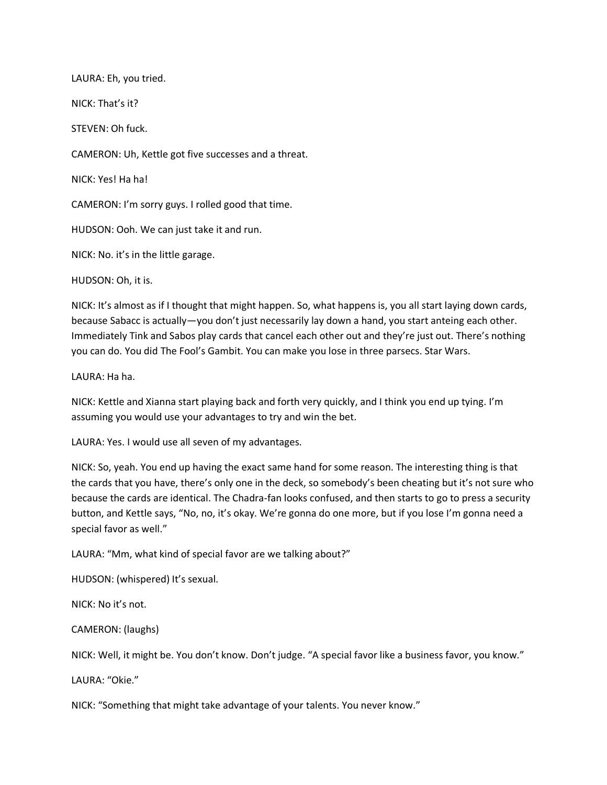LAURA: Eh, you tried. NICK: That's it? STEVEN: Oh fuck. CAMERON: Uh, Kettle got five successes and a threat. NICK: Yes! Ha ha! CAMERON: I'm sorry guys. I rolled good that time. HUDSON: Ooh. We can just take it and run. NICK: No. it's in the little garage.

HUDSON: Oh, it is.

NICK: It's almost as if I thought that might happen. So, what happens is, you all start laying down cards, because Sabacc is actually—you don't just necessarily lay down a hand, you start anteing each other. Immediately Tink and Sabos play cards that cancel each other out and they're just out. There's nothing you can do. You did The Fool's Gambit. You can make you lose in three parsecs. Star Wars.

LAURA: Ha ha.

NICK: Kettle and Xianna start playing back and forth very quickly, and I think you end up tying. I'm assuming you would use your advantages to try and win the bet.

LAURA: Yes. I would use all seven of my advantages.

NICK: So, yeah. You end up having the exact same hand for some reason. The interesting thing is that the cards that you have, there's only one in the deck, so somebody's been cheating but it's not sure who because the cards are identical. The Chadra-fan looks confused, and then starts to go to press a security button, and Kettle says, "No, no, it's okay. We're gonna do one more, but if you lose I'm gonna need a special favor as well."

LAURA: "Mm, what kind of special favor are we talking about?"

HUDSON: (whispered) It's sexual.

NICK: No it's not.

CAMERON: (laughs)

NICK: Well, it might be. You don't know. Don't judge. "A special favor like a business favor, you know."

LAURA: "Okie."

NICK: "Something that might take advantage of your talents. You never know."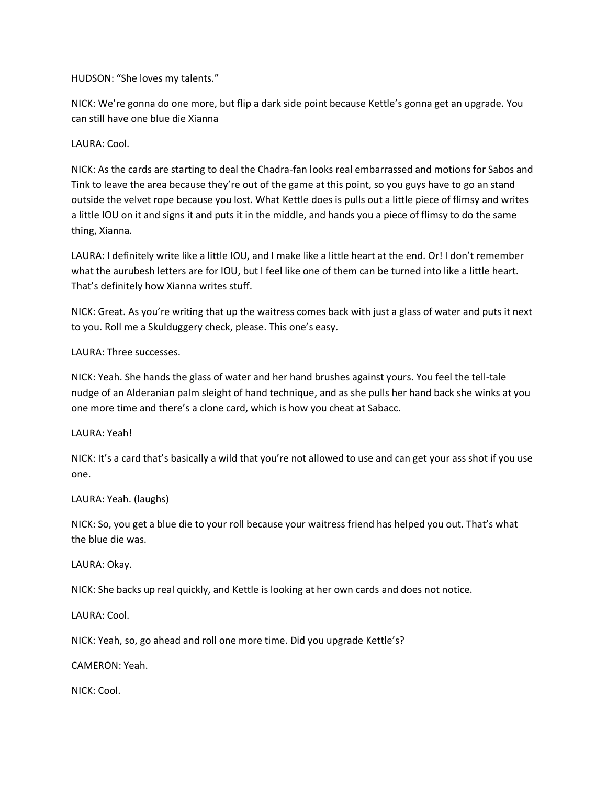HUDSON: "She loves my talents."

NICK: We're gonna do one more, but flip a dark side point because Kettle's gonna get an upgrade. You can still have one blue die Xianna

LAURA: Cool.

NICK: As the cards are starting to deal the Chadra-fan looks real embarrassed and motions for Sabos and Tink to leave the area because they're out of the game at this point, so you guys have to go an stand outside the velvet rope because you lost. What Kettle does is pulls out a little piece of flimsy and writes a little IOU on it and signs it and puts it in the middle, and hands you a piece of flimsy to do the same thing, Xianna.

LAURA: I definitely write like a little IOU, and I make like a little heart at the end. Or! I don't remember what the aurubesh letters are for IOU, but I feel like one of them can be turned into like a little heart. That's definitely how Xianna writes stuff.

NICK: Great. As you're writing that up the waitress comes back with just a glass of water and puts it next to you. Roll me a Skulduggery check, please. This one's easy.

LAURA: Three successes.

NICK: Yeah. She hands the glass of water and her hand brushes against yours. You feel the tell-tale nudge of an Alderanian palm sleight of hand technique, and as she pulls her hand back she winks at you one more time and there's a clone card, which is how you cheat at Sabacc.

LAURA: Yeah!

NICK: It's a card that's basically a wild that you're not allowed to use and can get your ass shot if you use one.

LAURA: Yeah. (laughs)

NICK: So, you get a blue die to your roll because your waitress friend has helped you out. That's what the blue die was.

LAURA: Okay.

NICK: She backs up real quickly, and Kettle is looking at her own cards and does not notice.

LAURA: Cool.

NICK: Yeah, so, go ahead and roll one more time. Did you upgrade Kettle's?

CAMERON: Yeah.

NICK: Cool.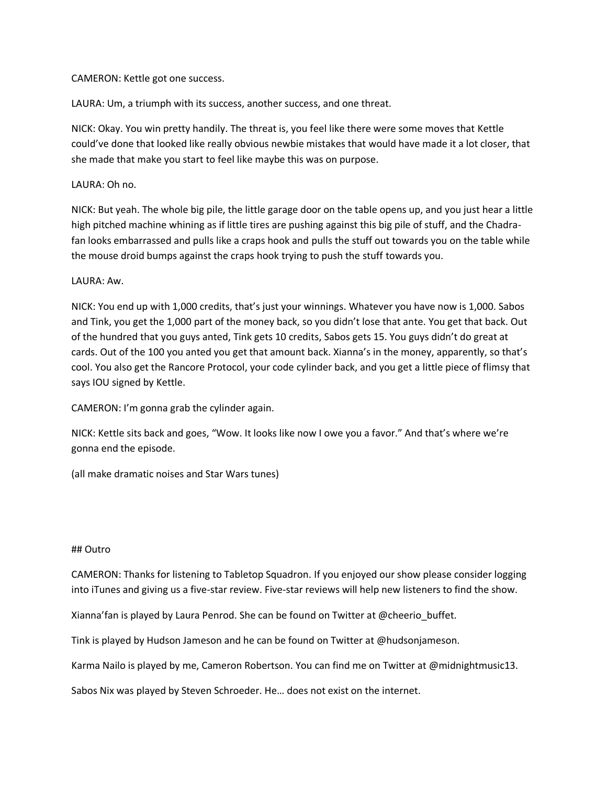## CAMERON: Kettle got one success.

LAURA: Um, a triumph with its success, another success, and one threat.

NICK: Okay. You win pretty handily. The threat is, you feel like there were some moves that Kettle could've done that looked like really obvious newbie mistakes that would have made it a lot closer, that she made that make you start to feel like maybe this was on purpose.

## LAURA: Oh no.

NICK: But yeah. The whole big pile, the little garage door on the table opens up, and you just hear a little high pitched machine whining as if little tires are pushing against this big pile of stuff, and the Chadrafan looks embarrassed and pulls like a craps hook and pulls the stuff out towards you on the table while the mouse droid bumps against the craps hook trying to push the stuff towards you.

# LAURA: Aw.

NICK: You end up with 1,000 credits, that's just your winnings. Whatever you have now is 1,000. Sabos and Tink, you get the 1,000 part of the money back, so you didn't lose that ante. You get that back. Out of the hundred that you guys anted, Tink gets 10 credits, Sabos gets 15. You guys didn't do great at cards. Out of the 100 you anted you get that amount back. Xianna's in the money, apparently, so that's cool. You also get the Rancore Protocol, your code cylinder back, and you get a little piece of flimsy that says IOU signed by Kettle.

CAMERON: I'm gonna grab the cylinder again.

NICK: Kettle sits back and goes, "Wow. It looks like now I owe you a favor." And that's where we're gonna end the episode.

(all make dramatic noises and Star Wars tunes)

#### ## Outro

CAMERON: Thanks for listening to Tabletop Squadron. If you enjoyed our show please consider logging into iTunes and giving us a five-star review. Five-star reviews will help new listeners to find the show.

Xianna'fan is played by Laura Penrod. She can be found on Twitter at @cheerio\_buffet.

Tink is played by Hudson Jameson and he can be found on Twitter at @hudsonjameson.

Karma Nailo is played by me, Cameron Robertson. You can find me on Twitter at @midnightmusic13.

Sabos Nix was played by Steven Schroeder. He… does not exist on the internet.